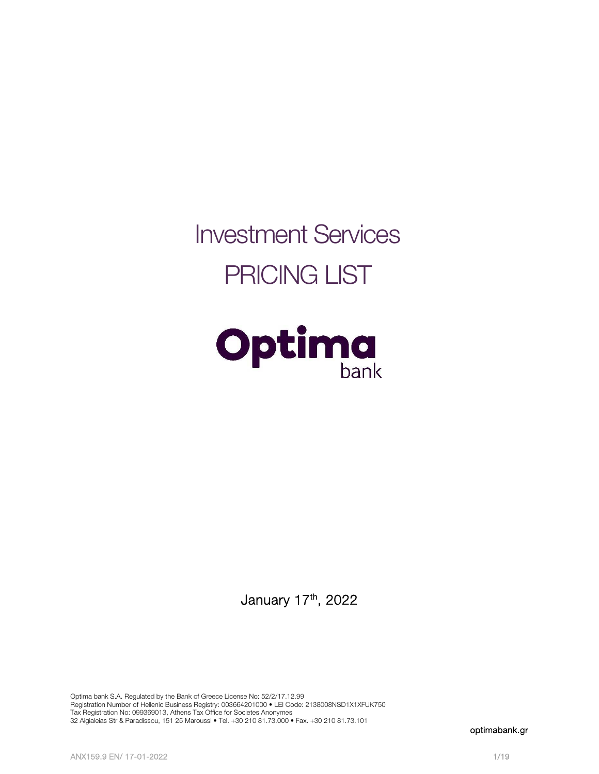Investment Services PRICING LIST



January 17<sup>th</sup>, 2022

Optima bank S.A. Regulated by the Bank of Greece License No: 52/2/17.12.99 Registration Number of Hellenic Business Registry: 003664201000 • LEI Code: 2138008NSD1X1XFUK750 Tax Registration No: 099369013, Athens Tax Office for Societes Anonymes 32 Aigialeias Str & Paradissou, 151 25 Maroussi • Tel. +30 210 81.73.000 • Fax. +30 210 81.73.101

optimabank.gr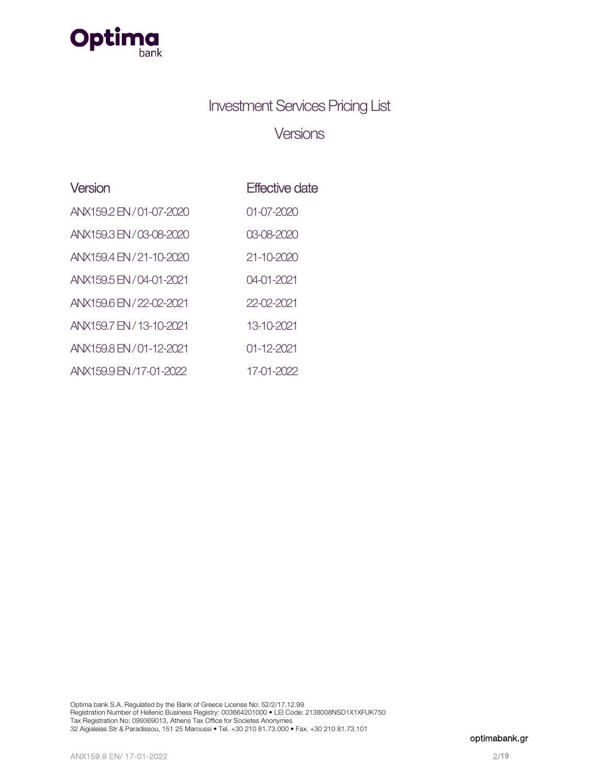

# Investment Services Pricing List

# Versions

| Version                  | <b>Effective date</b> |
|--------------------------|-----------------------|
| ANX159.2 EN / 01-07-2020 | 01-07-2020            |
| ANX159.3 EN / 03-08-2020 | 03-08-2020            |
| ANX159.4 EN / 21-10-2020 | 21-10-2020            |
| ANX159.5 EN / 04-01-2021 | 04-01-2021            |
| ANX159.6 EN / 22-02-2021 | 22-02-2021            |
| ANX159.7 EN / 13-10-2021 | 13-10-2021            |
| ANX159.8 EN / 01-12-2021 | 01-12-2021            |
| ANX159.9 EN /17-01-2022  | 17-01-2022            |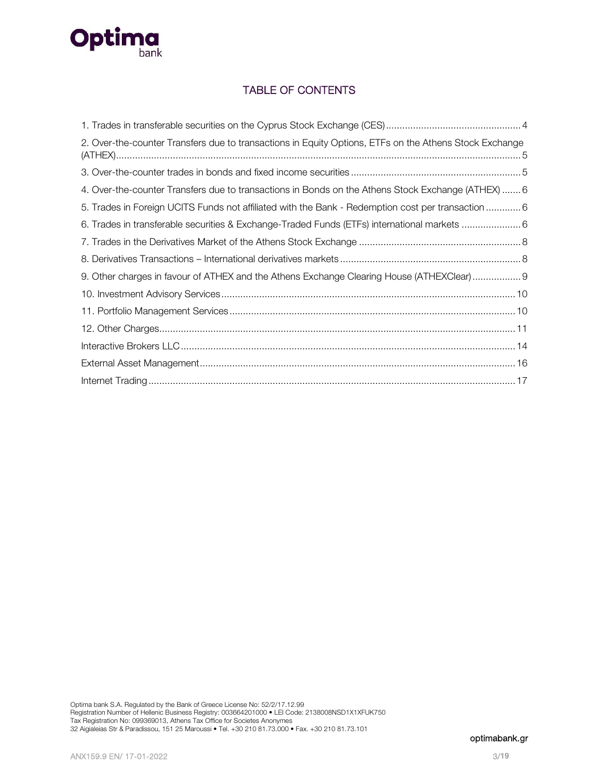

# TABLE OF CONTENTS

| 2. Over-the-counter Transfers due to transactions in Equity Options, ETFs on the Athens Stock Exchange |
|--------------------------------------------------------------------------------------------------------|
|                                                                                                        |
| 4. Over-the-counter Transfers due to transactions in Bonds on the Athens Stock Exchange (ATHEX)  6     |
| 5. Trades in Foreign UCITS Funds not affiliated with the Bank - Redemption cost per transaction 6      |
| 6. Trades in transferable securities & Exchange-Traded Funds (ETFs) international markets 6            |
|                                                                                                        |
|                                                                                                        |
| 9. Other charges in favour of ATHEX and the Athens Exchange Clearing House (ATHEXClear) 9              |
|                                                                                                        |
|                                                                                                        |
|                                                                                                        |
|                                                                                                        |
|                                                                                                        |
|                                                                                                        |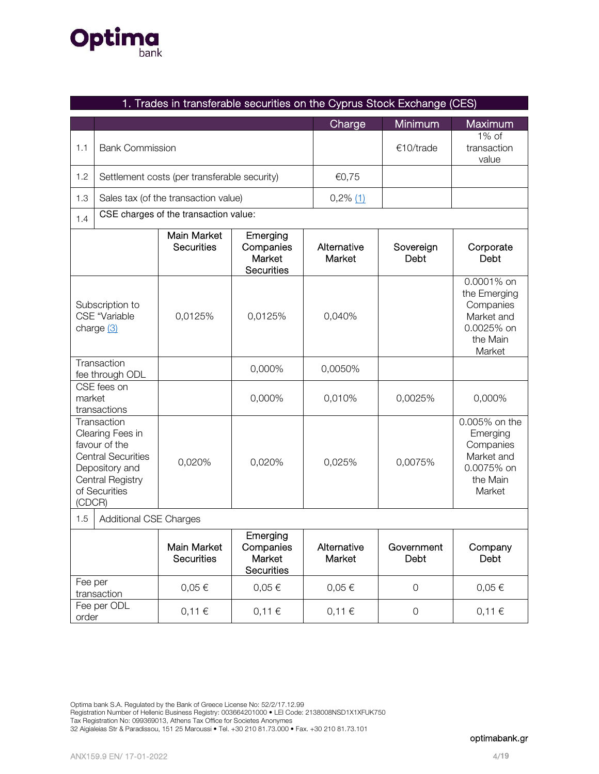# **Optima**

|                                                       | 1. Trades in transferable securities on the Cyprus Stock Exchange (CES)                                                              |                                              |                                                      |                       |                     |                                                                                           |
|-------------------------------------------------------|--------------------------------------------------------------------------------------------------------------------------------------|----------------------------------------------|------------------------------------------------------|-----------------------|---------------------|-------------------------------------------------------------------------------------------|
|                                                       |                                                                                                                                      |                                              |                                                      | Charge                | Minimum             | Maximum                                                                                   |
| 1.1                                                   | <b>Bank Commission</b>                                                                                                               |                                              |                                                      |                       | €10/trade           | $1\%$ of<br>transaction<br>value                                                          |
| 1.2                                                   |                                                                                                                                      | Settlement costs (per transferable security) |                                                      | €0,75                 |                     |                                                                                           |
| 1.3                                                   |                                                                                                                                      | Sales tax (of the transaction value)         |                                                      | $0,2\%$ (1)           |                     |                                                                                           |
| 1.4                                                   |                                                                                                                                      | CSE charges of the transaction value:        |                                                      |                       |                     |                                                                                           |
|                                                       |                                                                                                                                      | <b>Main Market</b><br><b>Securities</b>      | Emerging<br>Companies<br>Market<br><b>Securities</b> | Alternative<br>Market | Sovereign<br>Debt   | Corporate<br>Debt                                                                         |
| Subscription to<br><b>CSE</b> "Variable<br>charge (3) |                                                                                                                                      | 0,0125%                                      | 0,0125%                                              | 0,040%                |                     | 0.0001% on<br>the Emerging<br>Companies<br>Market and<br>0.0025% on<br>the Main<br>Market |
|                                                       | Transaction<br>fee through ODL                                                                                                       |                                              | 0,000%                                               | 0,0050%               |                     |                                                                                           |
| market                                                | CSE fees on<br>transactions                                                                                                          |                                              | 0,000%                                               | 0,010%                | 0,0025%             | 0,000%                                                                                    |
| (CDCR)                                                | Transaction<br>Clearing Fees in<br>favour of the<br><b>Central Securities</b><br>Depository and<br>Central Registry<br>of Securities | 0,020%                                       | 0,020%                                               | 0,025%                | 0,0075%             | 0.005% on the<br>Emerging<br>Companies<br>Market and<br>0.0075% on<br>the Main<br>Market  |
| <b>Additional CSE Charges</b><br>1.5                  |                                                                                                                                      |                                              |                                                      |                       |                     |                                                                                           |
|                                                       |                                                                                                                                      | Main Market<br><b>Securities</b>             | Emerging<br>Companies<br>Market<br>Securities        | Alternative<br>Market | Government<br>Debt  | Company<br>Debt                                                                           |
| Fee per                                               | transaction                                                                                                                          | $0,05 \in$                                   | $0,05 \in$                                           | $0,05 \in$            | $\mathbf 0$         | $0,05 \in$                                                                                |
| order                                                 | Fee per ODL                                                                                                                          | 0,11€                                        | 0,11€                                                | 0,11€                 | $\mathsf{O}\xspace$ | 0,11€                                                                                     |

Optima bank S.A. Regulated by the Bank of Greece License No: 52/2/17.12.99

Registration Number of Hellenic Business Registry: 003664201000 • LEI Code: 2138008NSD1X1XFUK750

Tax Registration No: 099369013, Athens Tax Office for Societes Anonymes

32 Aigialeias Str & Paradissou, 151 25 Maroussi • Tel. +30 210 81.73.000 • Fax. +30 210 81.73.101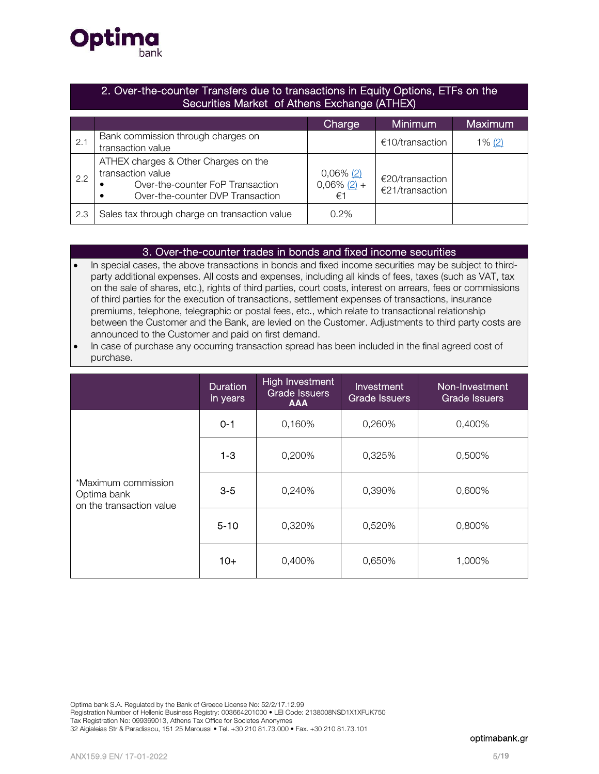

## 2. Over-the-counter Transfers due to transactions in Equity Options, ETFs on the Securities Market of Athens Exchange (ATHEX)

|     |                                                                                                                                                | Charge                               | <b>Minimum</b>                     | Maximum   |
|-----|------------------------------------------------------------------------------------------------------------------------------------------------|--------------------------------------|------------------------------------|-----------|
| 2.1 | Bank commission through charges on<br>transaction value                                                                                        |                                      | €10/transaction                    | $1\% (2)$ |
| 2.2 | ATHEX charges & Other Charges on the<br>transaction value<br>Over-the-counter FoP Transaction<br>Over-the-counter DVP Transaction<br>$\bullet$ | $0,06\%$ (2)<br>$0,06\%$ (2) +<br>€1 | €20/transaction<br>€21/transaction |           |
| 2.3 | Sales tax through charge on transaction value                                                                                                  | 0.2%                                 |                                    |           |

## 3. Over-the-counter trades in bonds and fixed income securities

- In special cases, the above transactions in bonds and fixed income securities may be subject to thirdparty additional expenses. All costs and expenses, including all kinds of fees, taxes (such as VAT, tax on the sale of shares, etc.), rights of third parties, court costs, interest on arrears, fees or commissions of third parties for the execution of transactions, settlement expenses of transactions, insurance premiums, telephone, telegraphic or postal fees, etc., which relate to transactional relationship between the Customer and the Bank, are levied on the Customer. Adjustments to third party costs are announced to the Customer and paid on first demand.
- In case of purchase any occurring transaction spread has been included in the final agreed cost of purchase.

|                                                                | <b>Duration</b><br>in years | <b>High Investment</b><br><b>Grade Issuers</b><br><b>AAA</b> | Investment<br><b>Grade Issuers</b> | Non-Investment<br><b>Grade Issuers</b> |
|----------------------------------------------------------------|-----------------------------|--------------------------------------------------------------|------------------------------------|----------------------------------------|
|                                                                | $0 - 1$                     | 0,160%                                                       | 0,260%                             | 0,400%                                 |
|                                                                | $1 - 3$                     | 0,200%                                                       | 0,325%                             | 0,500%                                 |
| *Maximum commission<br>Optima bank<br>on the transaction value | $3-5$                       | 0,240%                                                       | 0,390%                             | 0,600%                                 |
|                                                                | $5 - 10$                    | 0,320%                                                       | 0,520%                             | 0,800%                                 |
|                                                                | $10+$                       | 0,400%                                                       | 0,650%                             | 1,000%                                 |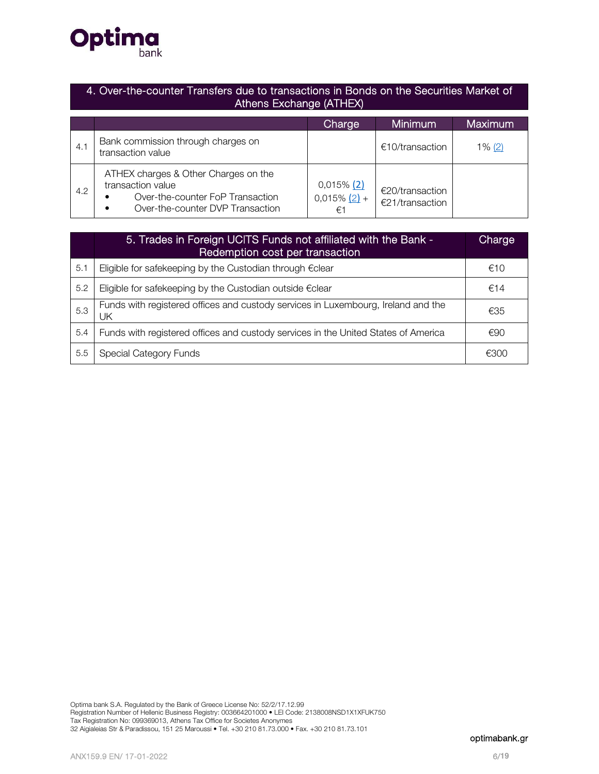

## 4. Over-the-counter Transfers due to transactions in Bonds on the Securities Market of Athens Exchange (ATHEX)

|     |                                                                                                                                        | Charge                                   | <b>Minimum</b>                     | Maximum   |
|-----|----------------------------------------------------------------------------------------------------------------------------------------|------------------------------------------|------------------------------------|-----------|
| 4.1 | Bank commission through charges on<br>transaction value                                                                                |                                          | €10/transaction                    | $1\%$ (2) |
| 4.2 | ATHEX charges & Other Charges on the<br>transaction value<br>Over-the-counter FoP Transaction<br>Over-the-counter DVP Transaction<br>٠ | $0,015\%$ (2)<br>$0,015\%$ $(2) +$<br>€1 | €20/transaction<br>€21/transaction |           |

|     | 5. Trades in Foreign UCITS Funds not affiliated with the Bank -<br>Redemption cost per transaction | Charge |
|-----|----------------------------------------------------------------------------------------------------|--------|
| 5.1 | Eligible for safekeeping by the Custodian through €clear                                           | €10    |
| 5.2 | Eligible for safekeeping by the Custodian outside €clear                                           | €14    |
| 5.3 | Funds with registered offices and custody services in Luxembourg, Ireland and the<br>UK            | €35    |
| 5.4 | Funds with registered offices and custody services in the United States of America                 | €90    |
| 5.5 | Special Category Funds                                                                             | €300   |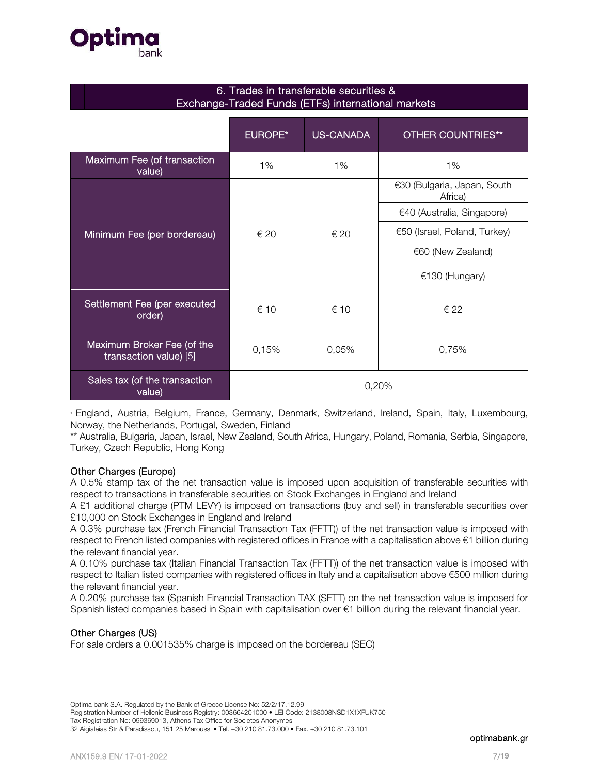

| 6. Trades in transferable securities &             |
|----------------------------------------------------|
| Exchange-Traded Funds (ETFs) international markets |

|                                                      | <b>EUROPE*</b> | <b>US-CANADA</b> | <b>OTHER COUNTRIES**</b>               |
|------------------------------------------------------|----------------|------------------|----------------------------------------|
| Maximum Fee (of transaction<br>value)                | 1%             | 1%               | 1%                                     |
|                                                      |                |                  | €30 (Bulgaria, Japan, South<br>Africa) |
|                                                      |                |                  | €40 (Australia, Singapore)             |
| Minimum Fee (per bordereau)                          | ∈ 20           | € 20             | €50 (Israel, Poland, Turkey)           |
|                                                      |                |                  | €60 (New Zealand)                      |
|                                                      |                |                  | €130 (Hungary)                         |
| Settlement Fee (per executed<br>order)               | € 10           | € 10             | € 22                                   |
| Maximum Broker Fee (of the<br>transaction value) [5] | 0,15%          | 0,05%            | 0,75%                                  |
| Sales tax (of the transaction<br>value)              | 0,20%          |                  |                                        |

\* England, Austria, Belgium, France, Germany, Denmark, Switzerland, Ireland, Spain, Italy, Luxembourg, Norway, the Netherlands, Portugal, Sweden, Finland

\*\* Australia, Bulgaria, Japan, Israel, New Zealand, South Africa, Hungary, Poland, Romania, Serbia, Singapore, Turkey, Czech Republic, Hong Kong

#### Other Charges (Europe)

A 0.5% stamp tax of the net transaction value is imposed upon acquisition of transferable securities with respect to transactions in transferable securities on Stock Exchanges in England and Ireland

A £1 additional charge (ΡΤΜ LEVY) is imposed on transactions (buy and sell) in transferable securities over £10,000 on Stock Exchanges in England and Ireland

A 0.3% purchase tax (French Financial Transaction Tax (FFTT)) of the net transaction value is imposed with respect to French listed companies with registered offices in France with a capitalisation above €1 billion during the relevant financial year.

A 0.10% purchase tax (Italian Financial Transaction Tax (FFTT)) of the net transaction value is imposed with respect to Italian listed companies with registered offices in Italy and a capitalisation above €500 million during the relevant financial year.

A 0.20% purchase tax (Spanish Financial Transaction TAX (SFTT) on the net transaction value is imposed for Spanish listed companies based in Spain with capitalisation over €1 billion during the relevant financial year.

#### Other Charges (US)

For sale orders a 0.001535% charge is imposed on the bordereau (SEC)

Registration Number of Hellenic Business Registry: 003664201000 • LEI Code: 2138008NSD1X1XFUK750

Tax Registration No: 099369013, Athens Tax Office for Societes Anonymes

32 Aigialeias Str & Paradissou, 151 25 Maroussi • Tel. +30 210 81.73.000 • Fax. +30 210 81.73.101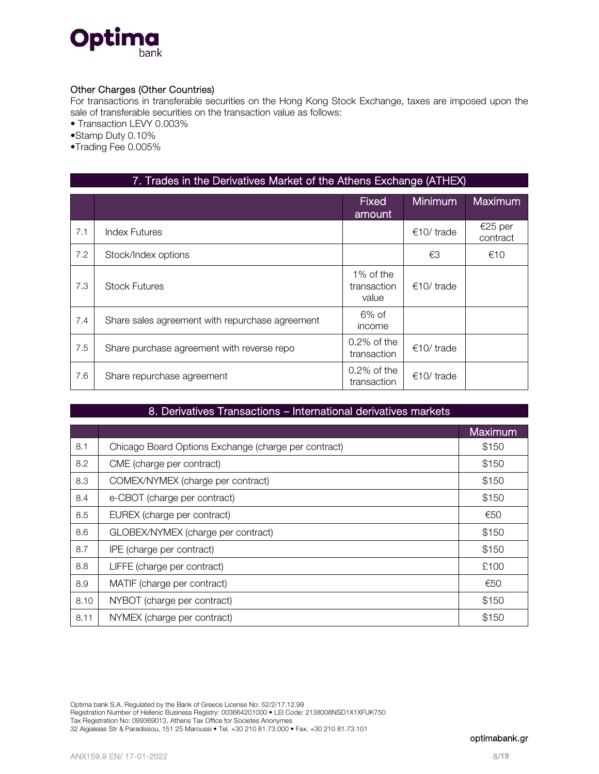

## Other Charges (Other Countries)

For transactions in transferable securities on the Hong Kong Stock Exchange, taxes are imposed upon the sale of transferable securities on the transaction value as follows:

• Transaction LEVY 0.003%

•Stamp Duty 0.10%

•Trading Fee 0.005%

|     | 7. Trades in the Derivatives Market of the Athens Exchange (ATHEX) |                                   |                     |                     |  |
|-----|--------------------------------------------------------------------|-----------------------------------|---------------------|---------------------|--|
|     |                                                                    | <b>Fixed</b><br>amount            | <b>Minimum</b>      | <b>Maximum</b>      |  |
| 7.1 | <b>Index Futures</b>                                               |                                   | €10/trade           | €25 per<br>contract |  |
| 7.2 | Stock/Index options                                                |                                   | €3                  | €10                 |  |
| 7.3 | <b>Stock Futures</b>                                               | 1% of the<br>transaction<br>value | $\epsilon$ 10/trade |                     |  |
| 7.4 | Share sales agreement with repurchase agreement                    | $6\%$ of<br>income                |                     |                     |  |
| 7.5 | Share purchase agreement with reverse repo                         | $0.2\%$ of the<br>transaction     | $€10/$ trade        |                     |  |
| 7.6 | Share repurchase agreement                                         | $0.2\%$ of the<br>transaction     | €10/trade           |                     |  |

### 8. Derivatives Transactions – International derivatives markets

|      |                                                      | Maximum |
|------|------------------------------------------------------|---------|
| 8.1  | Chicago Board Options Exchange (charge per contract) | \$150   |
| 8.2  | CME (charge per contract)                            | \$150   |
| 8.3  | COMEX/NYMEX (charge per contract)                    | \$150   |
| 8.4  | e-CBOT (charge per contract)                         | \$150   |
| 8.5  | EUREX (charge per contract)                          | €50     |
| 8.6  | GLOBEX/NYMEX (charge per contract)                   | \$150   |
| 8.7  | IPE (charge per contract)                            | \$150   |
| 8.8  | LIFFE (charge per contract)                          | £100    |
| 8.9  | MATIF (charge per contract)                          | €50     |
| 8.10 | NYBOT (charge per contract)                          | \$150   |
| 8.11 | NYMEX (charge per contract)                          | \$150   |

Registration Number of Hellenic Business Registry: 003664201000 • LEI Code: 2138008NSD1X1XFUK750

32 Aigialeias Str & Paradissou, 151 25 Maroussi • Tel. +30 210 81.73.000 • Fax. +30 210 81.73.101

Tax Registration No: 099369013, Athens Tax Office for Societes Anonymes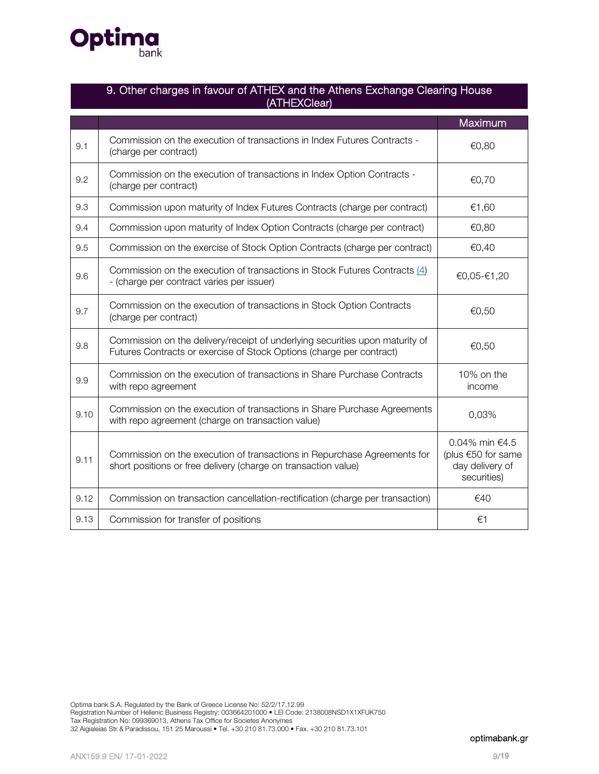

|      | 9. Other charges in favour of ATHEX and the Athens Exchange Clearing House<br>(ATHEXClear)                                                           |                                                                        |  |  |  |
|------|------------------------------------------------------------------------------------------------------------------------------------------------------|------------------------------------------------------------------------|--|--|--|
|      |                                                                                                                                                      | Maximum                                                                |  |  |  |
| 9.1  | Commission on the execution of transactions in Index Futures Contracts -<br>(charge per contract)                                                    | €0,80                                                                  |  |  |  |
| 9.2  | Commission on the execution of transactions in Index Option Contracts -<br>(charge per contract)                                                     | €0,70                                                                  |  |  |  |
| 9.3  | Commission upon maturity of Index Futures Contracts (charge per contract)                                                                            | €1,60                                                                  |  |  |  |
| 9.4  | Commission upon maturity of Index Option Contracts (charge per contract)                                                                             | €0,80                                                                  |  |  |  |
| 9.5  | Commission on the exercise of Stock Option Contracts (charge per contract)                                                                           | €0,40                                                                  |  |  |  |
| 9.6  | Commission on the execution of transactions in Stock Futures Contracts (4)<br>- (charge per contract varies per issuer)                              | €0,05-€1,20                                                            |  |  |  |
| 9.7  | Commission on the execution of transactions in Stock Option Contracts<br>(charge per contract)                                                       | €0,50                                                                  |  |  |  |
| 9.8  | Commission on the delivery/receipt of underlying securities upon maturity of<br>Futures Contracts or exercise of Stock Options (charge per contract) | €0,50                                                                  |  |  |  |
| 9.9  | Commission on the execution of transactions in Share Purchase Contracts<br>with repo agreement                                                       | 10% on the<br>income                                                   |  |  |  |
| 9.10 | Commission on the execution of transactions in Share Purchase Agreements<br>with repo agreement (charge on transaction value)                        | 0,03%                                                                  |  |  |  |
| 9.11 | Commission on the execution of transactions in Repurchase Agreements for<br>short positions or free delivery (charge on transaction value)           | 0.04% min €4.5<br>(plus €50 for same<br>day delivery of<br>securities) |  |  |  |
| 9.12 | Commission on transaction cancellation-rectification (charge per transaction)                                                                        | €40                                                                    |  |  |  |
| 9.13 | Commission for transfer of positions                                                                                                                 | €1                                                                     |  |  |  |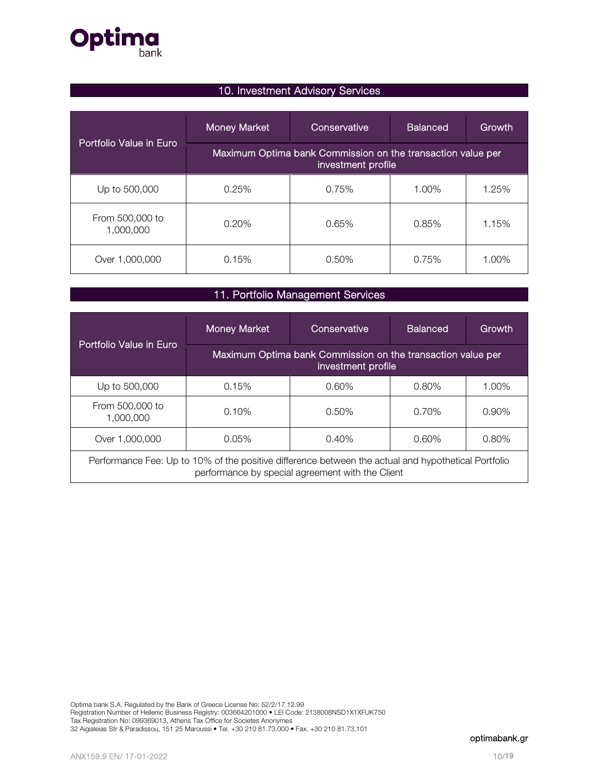

# 10. Investment Advisory Services

|                              | <b>Money Market</b>                                                               | Conservative | <b>Balanced</b> | Growth |
|------------------------------|-----------------------------------------------------------------------------------|--------------|-----------------|--------|
| Portfolio Value in Euro      | Maximum Optima bank Commission on the transaction value per<br>investment profile |              |                 |        |
| Up to 500,000                | 0.25%                                                                             | 0.75%        | 1.00%           | 1.25%  |
| From 500,000 to<br>1,000,000 | $0.20\%$                                                                          | 0.65%        | 0.85%           | 1.15%  |
| Over 1,000,000               | 0.15%                                                                             | 0.50%        | 0.75%           | 1.00%  |

# 11. Portfolio Management Services

|                                                                                                                                                         | Money Market | Conservative                                                                      | <b>Balanced</b> | Growth   |
|---------------------------------------------------------------------------------------------------------------------------------------------------------|--------------|-----------------------------------------------------------------------------------|-----------------|----------|
| Portfolio Value in Euro                                                                                                                                 |              | Maximum Optima bank Commission on the transaction value per<br>investment profile |                 |          |
| Up to 500,000                                                                                                                                           | 0.15%        | 0.60%                                                                             | $0.80\%$        | 1.00%    |
| From 500,000 to<br>1,000,000                                                                                                                            | 0.10%        | 0.50%                                                                             | 0.70%           | $0.90\%$ |
| Over 1,000,000                                                                                                                                          | 0.05%        | 0.40%                                                                             | $0.60\%$        | $0.80\%$ |
| Performance Fee: Up to 10% of the positive difference between the actual and hypothetical Portfolio<br>performance by special agreement with the Client |              |                                                                                   |                 |          |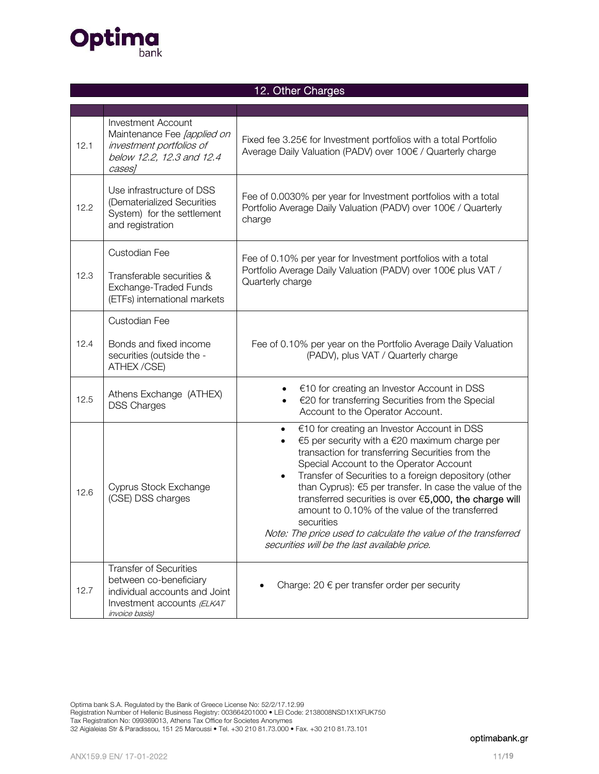

# 12. Other Charges

| 12.1 | <b>Investment Account</b><br>Maintenance Fee [applied on<br>investment portfolios of<br>below 12.2, 12.3 and 12.4<br>cases]              | Fixed fee 3.25€ for Investment portfolios with a total Portfolio<br>Average Daily Valuation (PADV) over 100€ / Quarterly charge                                                                                                                                                                                                                                                                                                                                                                                                                              |  |  |
|------|------------------------------------------------------------------------------------------------------------------------------------------|--------------------------------------------------------------------------------------------------------------------------------------------------------------------------------------------------------------------------------------------------------------------------------------------------------------------------------------------------------------------------------------------------------------------------------------------------------------------------------------------------------------------------------------------------------------|--|--|
| 12.2 | Use infrastructure of DSS<br>(Dematerialized Securities<br>System) for the settlement<br>and registration                                | Fee of 0.0030% per year for Investment portfolios with a total<br>Portfolio Average Daily Valuation (PADV) over 100€ / Quarterly<br>charge                                                                                                                                                                                                                                                                                                                                                                                                                   |  |  |
| 12.3 | Custodian Fee<br>Transferable securities &<br>Exchange-Traded Funds<br>(ETFs) international markets                                      | Fee of 0.10% per year for Investment portfolios with a total<br>Portfolio Average Daily Valuation (PADV) over 100€ plus VAT /<br>Quarterly charge                                                                                                                                                                                                                                                                                                                                                                                                            |  |  |
| 12.4 | Custodian Fee<br>Bonds and fixed income<br>securities (outside the -<br>ATHEX /CSE)                                                      | Fee of 0.10% per year on the Portfolio Average Daily Valuation<br>(PADV), plus VAT / Quarterly charge                                                                                                                                                                                                                                                                                                                                                                                                                                                        |  |  |
| 12.5 | Athens Exchange (ATHEX)<br><b>DSS Charges</b>                                                                                            | €10 for creating an Investor Account in DSS<br>€20 for transferring Securities from the Special<br>Account to the Operator Account.                                                                                                                                                                                                                                                                                                                                                                                                                          |  |  |
| 12.6 | Cyprus Stock Exchange<br>(CSE) DSS charges                                                                                               | €10 for creating an Investor Account in DSS<br>€5 per security with a €20 maximum charge per<br>transaction for transferring Securities from the<br>Special Account to the Operator Account<br>Transfer of Securities to a foreign depository (other<br>than Cyprus): €5 per transfer. In case the value of the<br>transferred securities is over €5,000, the charge will<br>amount to 0.10% of the value of the transferred<br>securities<br>Note: The price used to calculate the value of the transferred<br>securities will be the last available price. |  |  |
| 12.7 | <b>Transfer of Securities</b><br>between co-beneficiary<br>individual accounts and Joint<br>Investment accounts (ELKAT<br>invoice basis) | Charge: 20 $\epsilon$ per transfer order per security                                                                                                                                                                                                                                                                                                                                                                                                                                                                                                        |  |  |

Optima bank S.A. Regulated by the Bank of Greece License No: 52/2/17.12.99 Registration Number of Hellenic Business Registry: 003664201000 • LEI Code: 2138008NSD1X1XFUK750 Tax Registration No: 099369013, Athens Tax Office for Societes Anonymes 32 Aigialeias Str & Paradissou, 151 25 Maroussi • Tel. +30 210 81.73.000 • Fax. +30 210 81.73.101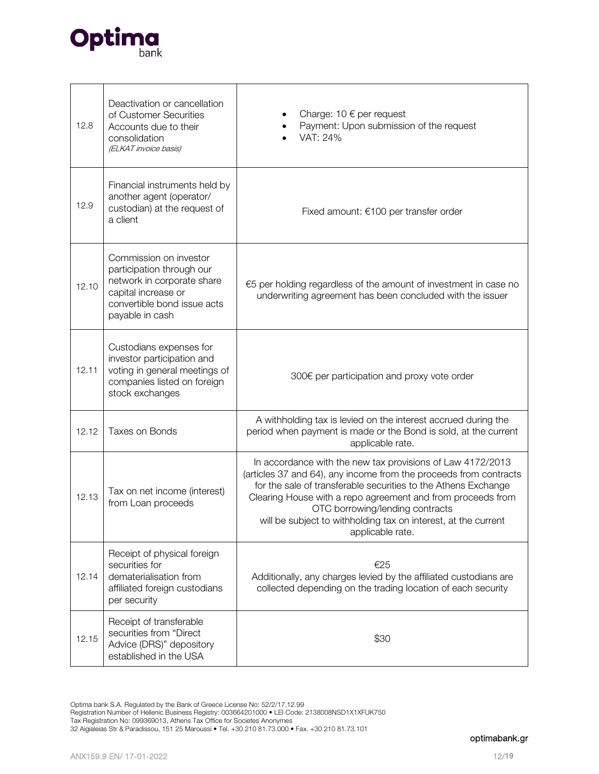

| 12.8  | Deactivation or cancellation<br>of Customer Securities<br>Accounts due to their<br>consolidation<br>(ELKAT invoice basis)                                  | Charge: $10 \in$ per request<br>Payment: Upon submission of the request<br>VAT: 24%                                                                                                                                                                                                                                                                                                       |  |
|-------|------------------------------------------------------------------------------------------------------------------------------------------------------------|-------------------------------------------------------------------------------------------------------------------------------------------------------------------------------------------------------------------------------------------------------------------------------------------------------------------------------------------------------------------------------------------|--|
| 12.9  | Financial instruments held by<br>another agent (operator/<br>custodian) at the request of<br>a client                                                      | Fixed amount: €100 per transfer order                                                                                                                                                                                                                                                                                                                                                     |  |
| 12.10 | Commission on investor<br>participation through our<br>network in corporate share<br>capital increase or<br>convertible bond issue acts<br>payable in cash | €5 per holding regardless of the amount of investment in case no<br>underwriting agreement has been concluded with the issuer                                                                                                                                                                                                                                                             |  |
| 12.11 | Custodians expenses for<br>investor participation and<br>voting in general meetings of<br>companies listed on foreign<br>stock exchanges                   | 300€ per participation and proxy vote order                                                                                                                                                                                                                                                                                                                                               |  |
| 12.12 | Taxes on Bonds                                                                                                                                             | A withholding tax is levied on the interest accrued during the<br>period when payment is made or the Bond is sold, at the current<br>applicable rate.                                                                                                                                                                                                                                     |  |
| 12.13 | Tax on net income (interest)<br>from Loan proceeds                                                                                                         | In accordance with the new tax provisions of Law 4172/2013<br>(articles 37 and 64), any income from the proceeds from contracts<br>for the sale of transferable securities to the Athens Exchange<br>Clearing House with a repo agreement and from proceeds from<br>OTC borrowing/lending contracts<br>will be subject to withholding tax on interest, at the current<br>applicable rate. |  |
| 12.14 | Receipt of physical foreign<br>securities for<br>dematerialisation from<br>affiliated foreign custodians<br>per security                                   | €25<br>Additionally, any charges levied by the affiliated custodians are<br>collected depending on the trading location of each security                                                                                                                                                                                                                                                  |  |
| 12.15 | Receipt of transferable<br>securities from "Direct<br>Advice (DRS)" depository<br>established in the USA                                                   | \$30                                                                                                                                                                                                                                                                                                                                                                                      |  |

Optima bank S.A. Regulated by the Bank of Greece License No: 52/2/17.12.99

Registration Number of Hellenic Business Registry: 003664201000 • LEI Code: 2138008NSD1X1XFUK750

Tax Registration No: 099369013, Athens Tax Office for Societes Anonymes

<sup>32</sup> Aigialeias Str & Paradissou, 151 25 Maroussi • Tel. +30 210 81.73.000 • Fax. +30 210 81.73.101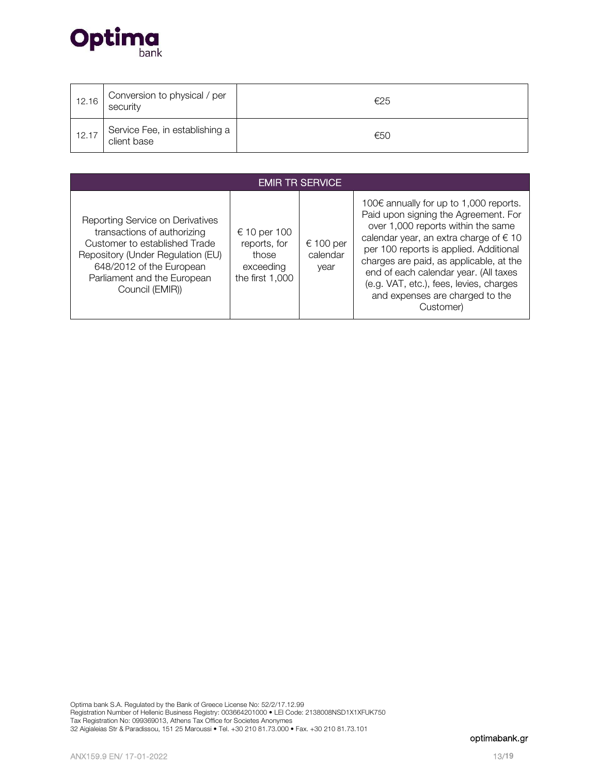

| 12.16 | Conversion to physical / per<br>security      | €25 |
|-------|-----------------------------------------------|-----|
| 12.17 | Service Fee, in establishing a<br>client base | €50 |

| <b>EMIR TR SERVICE</b>                                                                                                                                                                                              |                                                                       |                               |                                                                                                                                                                                                                                                                                                                                                                                                  |  |  |
|---------------------------------------------------------------------------------------------------------------------------------------------------------------------------------------------------------------------|-----------------------------------------------------------------------|-------------------------------|--------------------------------------------------------------------------------------------------------------------------------------------------------------------------------------------------------------------------------------------------------------------------------------------------------------------------------------------------------------------------------------------------|--|--|
| Reporting Service on Derivatives<br>transactions of authorizing<br>Customer to established Trade<br>Repository (Under Regulation (EU)<br>648/2012 of the European<br>Parliament and the European<br>Council (EMIR)) | € 10 per 100<br>reports, for<br>those<br>exceeding<br>the first 1,000 | € 100 per<br>calendar<br>year | 100€ annually for up to 1,000 reports.<br>Paid upon signing the Agreement. For<br>over 1,000 reports within the same<br>calendar year, an extra charge of $\epsilon$ 10<br>per 100 reports is applied. Additional<br>charges are paid, as applicable, at the<br>end of each calendar year. (All taxes<br>(e.g. VAT, etc.), fees, levies, charges<br>and expenses are charged to the<br>Customer) |  |  |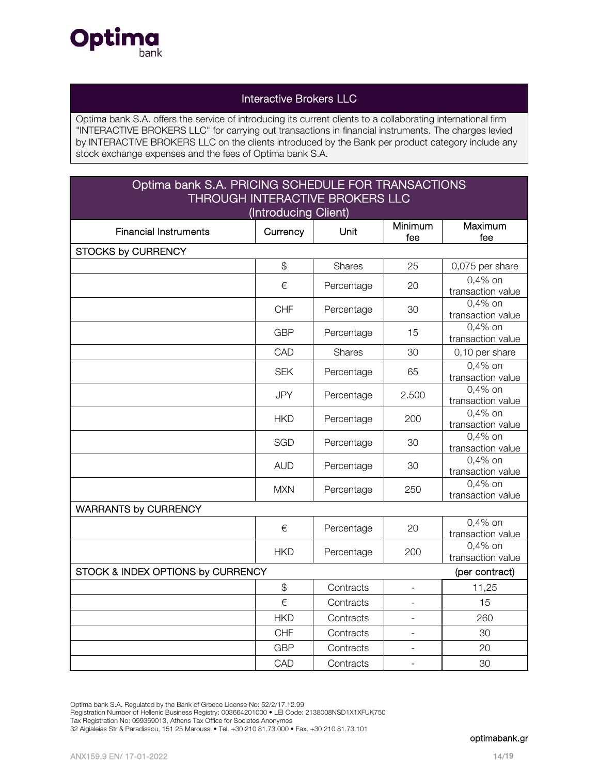

# Interactive Brokers LLC

Optima bank S.A. offers the service of introducing its current clients to a collaborating international firm "INTERACTIVE BROKERS LLC" for carrying out transactions in financial instruments. The charges levied by INTERACTIVE BROKERS LLC on the clients introduced by the Bank per product category include any stock exchange expenses and the fees of Optima bank S.A.

# Optima bank S.A. PRICING SCHEDULE FOR TRANSACTIONS THROUGH INTERACTIVE BROKERS LLC

| (Introducing Client)                                |            |               |                |                                 |  |
|-----------------------------------------------------|------------|---------------|----------------|---------------------------------|--|
| <b>Financial Instruments</b>                        | Currency   | Unit          | Minimum<br>fee | Maximum<br>fee                  |  |
| <b>STOCKS by CURRENCY</b>                           |            |               |                |                                 |  |
|                                                     | \$         | Shares        | 25             | 0,075 per share                 |  |
|                                                     | €          | Percentage    | 20             | 0,4% on<br>transaction value    |  |
|                                                     | <b>CHF</b> | Percentage    | 30             | $0,4%$ on<br>transaction value  |  |
|                                                     | <b>GBP</b> | Percentage    | 15             | 0,4% on<br>transaction value    |  |
|                                                     | CAD        | <b>Shares</b> | 30             | 0,10 per share                  |  |
|                                                     | <b>SEK</b> | Percentage    | 65             | 0,4% on<br>transaction value    |  |
|                                                     | <b>JPY</b> | Percentage    | 2.500          | $0.4\%$ on<br>transaction value |  |
|                                                     | <b>HKD</b> | Percentage    | 200            | 0,4% on<br>transaction value    |  |
|                                                     | <b>SGD</b> | Percentage    | 30             | $0.4\%$ on<br>transaction value |  |
|                                                     | <b>AUD</b> | Percentage    | 30             | $0.4\%$ on<br>transaction value |  |
|                                                     | <b>MXN</b> | Percentage    | 250            | $0,4%$ on<br>transaction value  |  |
| <b>WARRANTS by CURRENCY</b>                         |            |               |                |                                 |  |
|                                                     | €          | Percentage    | 20             | $0.4\%$ on<br>transaction value |  |
|                                                     | <b>HKD</b> | Percentage    | 200            | 0,4% on<br>transaction value    |  |
| STOCK & INDEX OPTIONS by CURRENCY<br>(per contract) |            |               |                |                                 |  |
|                                                     | \$         | Contracts     |                | 11,25                           |  |
|                                                     | €          | Contracts     |                | 15                              |  |
|                                                     | <b>HKD</b> | Contracts     |                | 260                             |  |
|                                                     | <b>CHF</b> | Contracts     |                | 30                              |  |
|                                                     | <b>GBP</b> | Contracts     |                | 20                              |  |
|                                                     | CAD        | Contracts     | $\blacksquare$ | 30                              |  |

Optima bank S.A. Regulated by the Bank of Greece License No: 52/2/17.12.99

Registration Number of Hellenic Business Registry: 003664201000 • LEI Code: 2138008NSD1X1XFUK750

Tax Registration No: 099369013, Athens Tax Office for Societes Anonymes

32 Aigialeias Str & Paradissou, 151 25 Maroussi • Tel. +30 210 81.73.000 • Fax. +30 210 81.73.101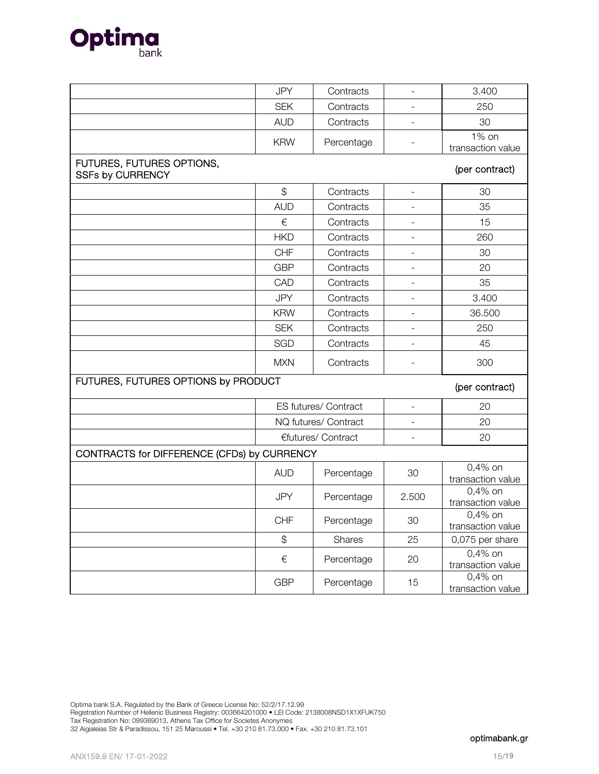

|                                                      | <b>JPY</b>    | Contracts            |                          | 3.400                          |
|------------------------------------------------------|---------------|----------------------|--------------------------|--------------------------------|
|                                                      | <b>SEK</b>    | Contracts            | $\overline{\phantom{0}}$ | 250                            |
|                                                      | <b>AUD</b>    | Contracts            |                          | 30                             |
|                                                      | <b>KRW</b>    | Percentage           |                          | 1% on                          |
|                                                      |               |                      |                          | transaction value              |
| FUTURES, FUTURES OPTIONS,<br><b>SSFs by CURRENCY</b> |               |                      |                          | (per contract)                 |
|                                                      | $\mathcal{L}$ | Contracts            | $\overline{\phantom{0}}$ | 30                             |
|                                                      | <b>AUD</b>    | Contracts            |                          | 35                             |
|                                                      | €             | Contracts            | -                        | 15                             |
|                                                      | <b>HKD</b>    | Contracts            |                          | 260                            |
|                                                      | <b>CHF</b>    | Contracts            |                          | 30                             |
|                                                      | <b>GBP</b>    | Contracts            |                          | 20                             |
|                                                      | CAD           | Contracts            |                          | 35                             |
|                                                      | <b>JPY</b>    | Contracts            |                          | 3.400                          |
|                                                      | <b>KRW</b>    | Contracts            |                          | 36.500                         |
|                                                      | <b>SEK</b>    | Contracts            | $\overline{\phantom{a}}$ | 250                            |
|                                                      | SGD           | Contracts            |                          | 45                             |
|                                                      | <b>MXN</b>    | Contracts            |                          | 300                            |
| FUTURES, FUTURES OPTIONS by PRODUCT                  |               |                      |                          | (per contract)                 |
|                                                      |               | ES futures/ Contract | $\overline{a}$           | 20                             |
|                                                      |               | NQ futures/ Contract | -                        | 20                             |
|                                                      |               | €futures/ Contract   |                          | 20                             |
| CONTRACTS for DIFFERENCE (CFDs) by CURRENCY          |               |                      |                          |                                |
|                                                      | <b>AUD</b>    | Percentage           | 30                       | $0,4%$ on<br>transaction value |
|                                                      | <b>JPY</b>    | Percentage           | 2.500                    | $0,4%$ on<br>transaction value |
|                                                      | <b>CHF</b>    | Percentage           | 30                       | $0,4%$ on<br>transaction value |
|                                                      | $\frac{1}{2}$ | Shares               | 25                       | 0,075 per share                |
|                                                      | $\in$         | Percentage           | 20                       | $0,4%$ on<br>transaction value |
|                                                      | <b>GBP</b>    | Percentage           | 15                       | $0,4%$ on<br>transaction value |

Optima bank S.A. Regulated by the Bank of Greece License No: 52/2/17.12.99 Registration Number of Hellenic Business Registry: 003664201000 • LEI Code: 2138008NSD1X1XFUK750 Tax Registration No: 099369013, Athens Tax Office for Societes Anonymes 32 Aigialeias Str & Paradissou, 151 25 Maroussi • Tel. +30 210 81.73.000 • Fax. +30 210 81.73.101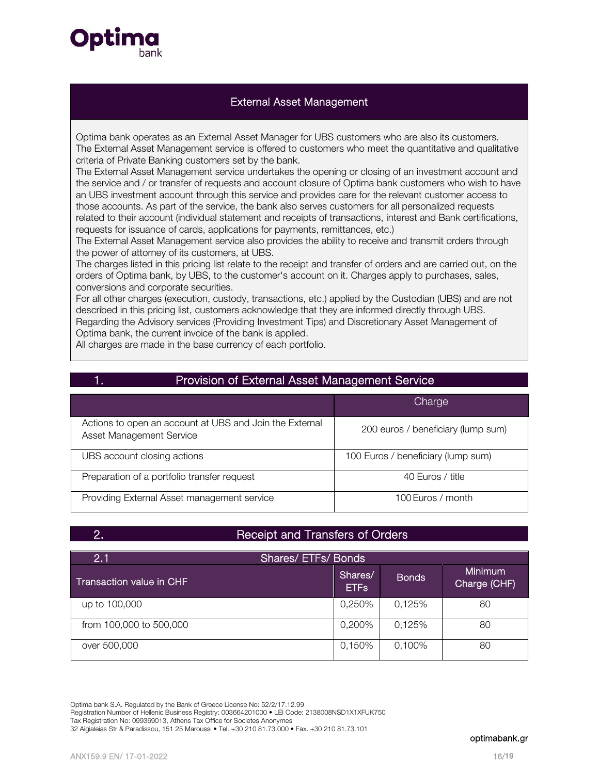

## External Asset Management

Optima bank operates as an External Asset Manager for UBS customers who are also its customers. The External Asset Management service is offered to customers who meet the quantitative and qualitative criteria of Private Banking customers set by the bank.

The External Asset Management service undertakes the opening or closing of an investment account and the service and / or transfer of requests and account closure of Optima bank customers who wish to have an UBS investment account through this service and provides care for the relevant customer access to those accounts. As part of the service, the bank also serves customers for all personalized requests related to their account (individual statement and receipts of transactions, interest and Bank certifications, requests for issuance of cards, applications for payments, remittances, etc.)

The External Asset Management service also provides the ability to receive and transmit orders through the power of attorney of its customers, at UBS.

The charges listed in this pricing list relate to the receipt and transfer of orders and are carried out, on the orders of Optima bank, by UBS, to the customer's account on it. Charges apply to purchases, sales, conversions and corporate securities.

For all other charges (execution, custody, transactions, etc.) applied by the Custodian (UBS) and are not described in this pricing list, customers acknowledge that they are informed directly through UBS. Regarding the Advisory services (Providing Investment Tips) and Discretionary Asset Management of Optima bank, the current invoice of the bank is applied.

All charges are made in the base currency of each portfolio.

| Provision of External Asset Management Service                                      |                                    |  |
|-------------------------------------------------------------------------------------|------------------------------------|--|
|                                                                                     | Charge                             |  |
| Actions to open an account at UBS and Join the External<br>Asset Management Service | 200 euros / beneficiary (lump sum) |  |
| UBS account closing actions                                                         | 100 Euros / beneficiary (lump sum) |  |
| Preparation of a portfolio transfer request                                         | 40 Euros / title                   |  |
| Providing External Asset management service                                         | 100 Euros / month                  |  |

# 2. Receipt and Transfers of Orders

| 2.1                      | <b>Shares/ETFs/Bonds</b> |              |                                |  |
|--------------------------|--------------------------|--------------|--------------------------------|--|
| Transaction value in CHF | Shares/<br><b>ETFs</b>   | <b>Bonds</b> | <b>Minimum</b><br>Charge (CHF) |  |
| up to 100,000            | 0,250%                   | 0,125%       | 80                             |  |
| from 100,000 to 500,000  | 0,200%                   | 0,125%       | 80                             |  |
| over 500,000             | 0,150%                   | 0,100%       | 80                             |  |

Optima bank S.A. Regulated by the Bank of Greece License No: 52/2/17.12.99 Registration Number of Hellenic Business Registry: 003664201000 • LEI Code: 2138008NSD1X1XFUK750 Tax Registration No: 099369013, Athens Tax Office for Societes Anonymes 32 Aigialeias Str & Paradissou, 151 25 Maroussi • Tel. +30 210 81.73.000 • Fax. +30 210 81.73.101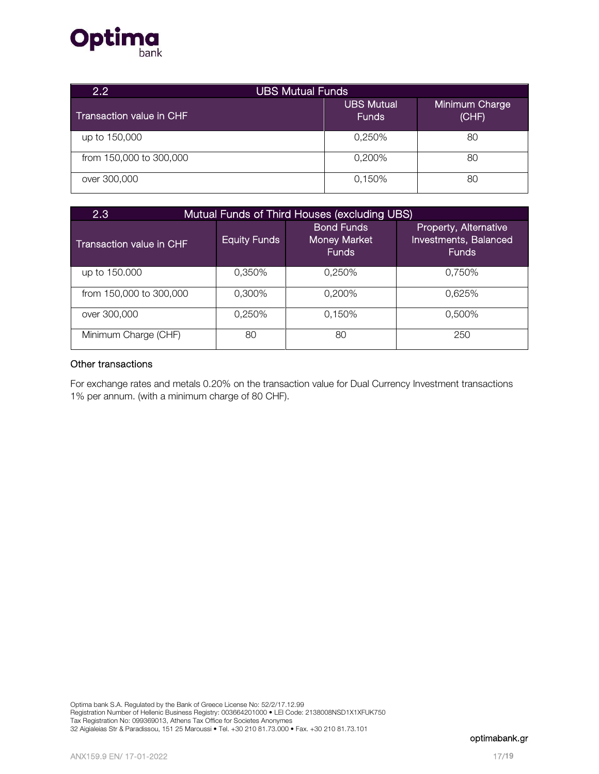

| 2.2                             | <b>UBS Mutual Funds</b>    |                         |  |  |
|---------------------------------|----------------------------|-------------------------|--|--|
| <b>Transaction value in CHF</b> | UBS Mutual<br><b>Funds</b> | Minimum Charge<br>(CHF) |  |  |
| up to 150,000                   | 0,250%                     | 80                      |  |  |
| from 150,000 to 300,000         | 0,200%                     | 80                      |  |  |
| over 300,000                    | 0,150%                     | 80                      |  |  |

| 2.3<br>Mutual Funds of Third Houses (excluding UBS) |                     |                                                          |                                                                |  |  |
|-----------------------------------------------------|---------------------|----------------------------------------------------------|----------------------------------------------------------------|--|--|
| Transaction value in CHF                            | <b>Equity Funds</b> | <b>Bond Funds</b><br><b>Money Market</b><br><b>Funds</b> | Property, Alternative<br>Investments, Balanced<br><b>Funds</b> |  |  |
| up to 150,000                                       | 0.350%              | 0.250%                                                   | 0.750%                                                         |  |  |
| from 150,000 to 300,000                             | 0.300%              | 0,200%                                                   | 0,625%                                                         |  |  |
| over 300,000                                        | 0,250%              | 0,150%                                                   | 0,500%                                                         |  |  |
| Minimum Charge (CHF)                                | 80                  | 80                                                       | 250                                                            |  |  |

### Other transactions

For exchange rates and metals 0.20% on the transaction value for Dual Currency Investment transactions 1% per annum. (with a minimum charge of 80 CHF).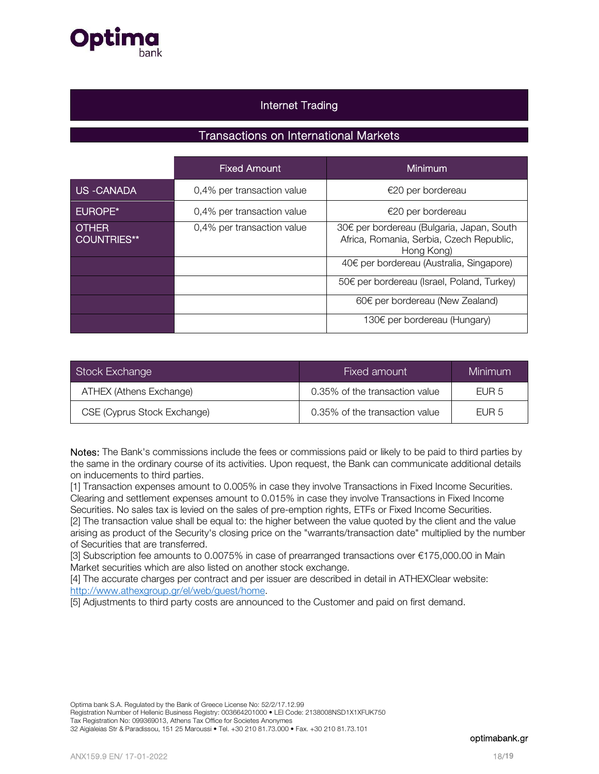

# Internet Trading

# Transactions on International Markets

|                             | <b>Fixed Amount</b>        | Minimum                                                                                             |
|-----------------------------|----------------------------|-----------------------------------------------------------------------------------------------------|
| US-CANADA                   | 0,4% per transaction value | €20 per bordereau                                                                                   |
| <b>EUROPE*</b>              | 0,4% per transaction value | €20 per bordereau                                                                                   |
| <b>OTHER</b><br>COUNTRIES** | 0,4% per transaction value | 30€ per bordereau (Bulgaria, Japan, South<br>Africa, Romania, Serbia, Czech Republic,<br>Hong Kong) |
|                             |                            | 40€ per bordereau (Australia, Singapore)                                                            |
|                             |                            | 50€ per bordereau (Israel, Poland, Turkey)                                                          |
|                             |                            | $60 \in$ per bordereau (New Zealand)                                                                |
|                             |                            | 130€ per bordereau (Hungary)                                                                        |

| Stock Exchange              | Fixed amount                   | <b>Minimum</b>   |
|-----------------------------|--------------------------------|------------------|
| ATHEX (Athens Exchange)     | 0.35% of the transaction value | FUR <sub>5</sub> |
| CSE (Cyprus Stock Exchange) | 0.35% of the transaction value | FUR <sub>5</sub> |

Notes: The Bank's commissions include the fees or commissions paid or likely to be paid to third parties by the same in the ordinary course of its activities. Upon request, the Bank can communicate additional details on inducements to third parties.

[1] Transaction expenses amount to 0.005% in case they involve Transactions in Fixed Income Securities. Clearing and settlement expenses amount to 0.015% in case they involve Transactions in Fixed Income Securities. No sales tax is levied on the sales of pre-emption rights, ETFs or Fixed Income Securities.

[2] The transaction value shall be equal to: the higher between the value quoted by the client and the value arising as product of the Security's closing price on the "warrants/transaction date" multiplied by the number of Securities that are transferred.

[3] Subscription fee amounts to 0.0075% in case of prearranged transactions over €175,000.00 in Main Market securities which are also listed on another stock exchange.

[4] The accurate charges per contract and per issuer are described in detail in ATHEXClear website: http://www.athexgroup.gr/el/web/guest/home.

[5] Adjustments to third party costs are announced to the Customer and paid on first demand.

Optima bank S.A. Regulated by the Bank of Greece License No: 52/2/17.12.99 Registration Number of Hellenic Business Registry: 003664201000 • LEI Code: 2138008NSD1X1XFUK750 Tax Registration No: 099369013, Athens Tax Office for Societes Anonymes

32 Aigialeias Str & Paradissou, 151 25 Maroussi • Tel. +30 210 81.73.000 • Fax. +30 210 81.73.101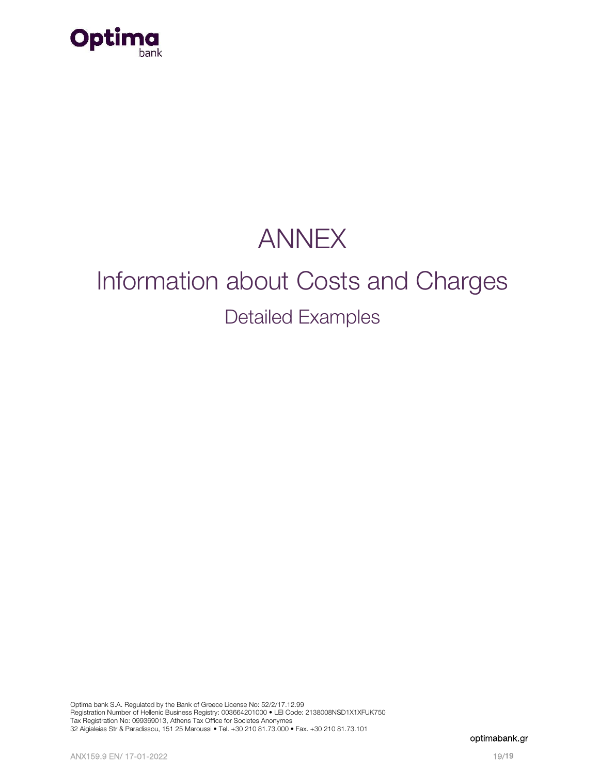

# ANNEX

# Information about Costs and Charges Detailed Examples

Optima bank S.A. Regulated by the Bank of Greece License No: 52/2/17.12.99 Registration Number of Hellenic Business Registry: 003664201000 • LEI Code: 2138008NSD1X1XFUK750 Tax Registration No: 099369013, Athens Tax Office for Societes Anonymes 32 Aigialeias Str & Paradissou, 151 25 Maroussi • Tel. +30 210 81.73.000 • Fax. +30 210 81.73.101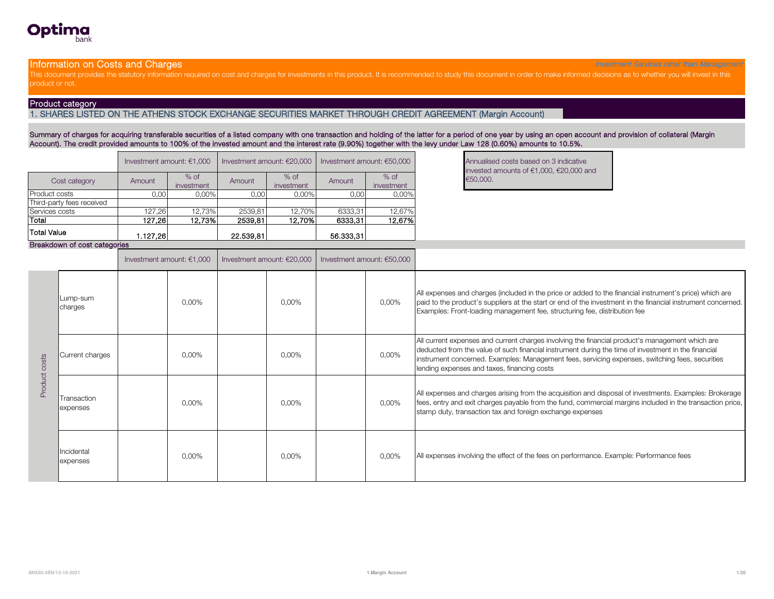

#### Information on Costs and Charges **Investment Services other than Management** Services other than Management Services other than Management

This document provides the statutory information required on cost and charges for investments in this product. It is recommended to study this document in order to make informed decisions as to whether you will invest in t product or not.

#### Product category

1. SHARES LISTED ON THE ATHENS STOCK EXCHANGE SECURITIES MARKET THROUGH CREDIT AGREEMENT (Margin Account)

Summary of charges for acquiring transferable securities of a listed company with one transaction and holding of the latter for a period of one year by using an open account and provision of collateral (Margin Account). The credit provided amounts to 100% of the invested amount and the interest rate (9.90%) together with the levy under Law 128 (0.60%) amounts to 10.5%.

|                           |          | Investment amount: $€1,000$ | Investment amount: €20,000 |                      | Investment amount: €50,000 | <b>Annualise</b><br>invested |          |
|---------------------------|----------|-----------------------------|----------------------------|----------------------|----------------------------|------------------------------|----------|
| Cost category             | Amount   | $%$ of<br>investment        | Amount                     | $%$ of<br>investment | Amount                     | $%$ of<br>investment         | €50,000. |
| <b>Product costs</b>      | 0,00     | 0,00%                       | 0,00                       | 0,00%                | 0,00                       | 0,00%                        |          |
| Third-party fees received |          |                             |                            |                      |                            |                              |          |
| Services costs            | 127,26   | 12,73%                      | 2539,81                    | 12.70%               | 6333.31                    | 12,67%                       |          |
| Total                     | 127.26   | 12.73%                      | 2539,81                    | 12,70%               | 6333,31                    | 12,67%                       |          |
| <b>Total Value</b>        | 1.127,26 |                             | 22.539.81                  |                      | 56.333,31                  |                              |          |

Annualised costs based on 3 indicative invested amounts of €1,000, €20,000 and

#### Breakdown of cost categories

|               |                         | Investment amount: $€1,000$ | Investment amount: €20,000 | Investment amount: €50,000 |       |                                                                                                                                                                                                                                                                                                                                                          |
|---------------|-------------------------|-----------------------------|----------------------------|----------------------------|-------|----------------------------------------------------------------------------------------------------------------------------------------------------------------------------------------------------------------------------------------------------------------------------------------------------------------------------------------------------------|
| Product costs | Lump-sum<br>charges     | 0,00%                       | $0.00\%$                   |                            | 0,00% | All expenses and charges (included in the price or added to the financial instrument's price) which are<br>paid to the product's suppliers at the start or end of the investment in the financial instrument concerned.<br>Examples: Front-loading management fee, structuring fee, distribution fee                                                     |
|               | Current charges         | 0,00%                       | 0,00%                      |                            | 0,00% | All current expenses and current charges involving the financial product's management which are<br>deducted from the value of such financial instrument during the time of investment in the financial<br>instrument concerned. Examples: Management fees, servicing expenses, switching fees, securities<br>lending expenses and taxes, financing costs |
|               | Transaction<br>expenses | 0,00%                       | 0,00%                      |                            | 0,00% | All expenses and charges arising from the acquisition and disposal of investments. Examples: Brokerage<br>fees, entry and exit charges payable from the fund, commercial margins included in the transaction price,<br>stamp duty, transaction tax and foreign exchange expenses                                                                         |
|               | Incidental<br>expenses  | 0,00%                       | $0.00\%$                   |                            | 0,00% | All expenses involving the effect of the fees on performance. Example: Performance fees                                                                                                                                                                                                                                                                  |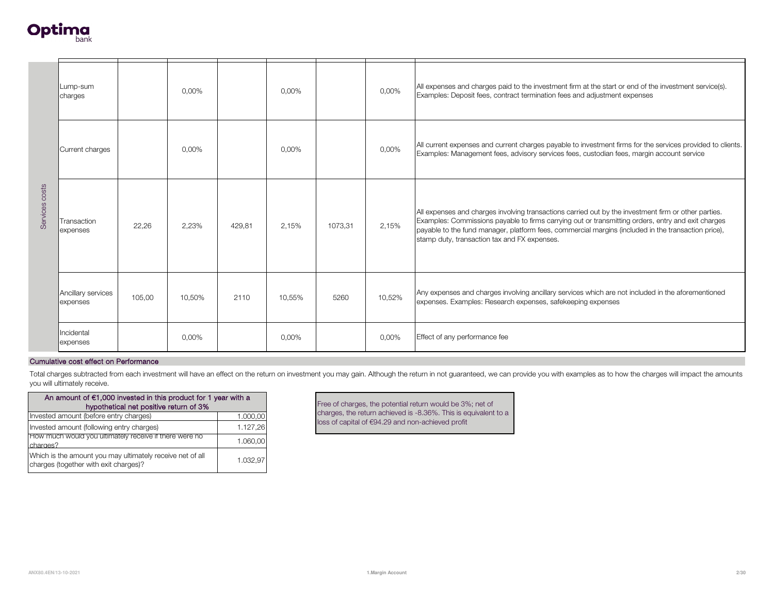

|                                                                                                            | Lump-sum<br>charges                                                                 |        | 0,00%  |                      | 0.00%  |         | 0,00%  | All expenses and charges paid to the investment firm at the start or end of the investment service(s).<br>Examples: Deposit fees, contract termination fees and adjustment expenses                                                                                                                                                                               |
|------------------------------------------------------------------------------------------------------------|-------------------------------------------------------------------------------------|--------|--------|----------------------|--------|---------|--------|-------------------------------------------------------------------------------------------------------------------------------------------------------------------------------------------------------------------------------------------------------------------------------------------------------------------------------------------------------------------|
| Services costs                                                                                             | Current charges                                                                     |        | 0,00%  |                      | 0,00%  |         | 0,00%  | All current expenses and current charges payable to investment firms for the services provided to clients.<br>Examples: Management fees, advisory services fees, custodian fees, margin account service                                                                                                                                                           |
|                                                                                                            | Transaction<br>22,26<br>expenses                                                    |        | 2,23%  | 429,81               | 2,15%  | 1073,31 | 2,15%  | All expenses and charges involving transactions carried out by the investment firm or other parties.<br>Examples: Commissions payable to firms carrying out or transmitting orders, entry and exit charges<br>payable to the fund manager, platform fees, commercial margins (included in the transaction price),<br>stamp duty, transaction tax and FX expenses. |
|                                                                                                            | Ancillary services<br>expenses                                                      | 105,00 | 10,50% | 2110                 | 10,55% | 5260    | 10,52% | Any expenses and charges involving ancillary services which are not included in the aforementioned<br>expenses. Examples: Research expenses, safekeeping expenses                                                                                                                                                                                                 |
|                                                                                                            | Incidental<br>expenses                                                              |        | 0,00%  |                      | 0,00%  |         | 0,00%  | Effect of any performance fee                                                                                                                                                                                                                                                                                                                                     |
|                                                                                                            | Cumulative cost effect on Performance                                               |        |        |                      |        |         |        |                                                                                                                                                                                                                                                                                                                                                                   |
| you will ultimately receive.                                                                               |                                                                                     |        |        |                      |        |         |        | Total charges subtracted from each investment will have an effect on the return on investment you may gain. Although the return in not guaranteed, we can provide you with examples as to how the charges will impact the amou                                                                                                                                    |
| An amount of $€1,000$ invested in this product for 1 year with a<br>hypothetical net positive return of 3% |                                                                                     |        |        |                      |        |         |        | Free of charges, the potential return would be 3%; net of<br>charges, the return achieved is -8.36%. This is equivalent to a                                                                                                                                                                                                                                      |
|                                                                                                            | Invested amount (before entry charges)<br>Invested amount (following entry charges) |        |        | 1.000,00<br>1.127,26 |        |         |        | loss of capital of €94.29 and non-achieved profit                                                                                                                                                                                                                                                                                                                 |
|                                                                                                            |                                                                                     |        |        |                      |        |         |        |                                                                                                                                                                                                                                                                                                                                                                   |
| How much would you ultimately receive if there were no<br>1.060,00<br>charges?                             |                                                                                     |        |        |                      |        |         |        |                                                                                                                                                                                                                                                                                                                                                                   |

| An amount of $€1,000$ invested in this product for 1 year with a<br>hypothetical net positive return of 3% |          |  |  |  |  |  |  |
|------------------------------------------------------------------------------------------------------------|----------|--|--|--|--|--|--|
| Invested amount (before entry charges)                                                                     | 1.000,00 |  |  |  |  |  |  |
| Invested amount (following entry charges)                                                                  | 1.127,26 |  |  |  |  |  |  |
| How much would you ultimately receive if there were no<br>charges?                                         | 1.060,00 |  |  |  |  |  |  |
| Which is the amount you may ultimately receive net of all<br>charges (together with exit charges)?         | 1.032.97 |  |  |  |  |  |  |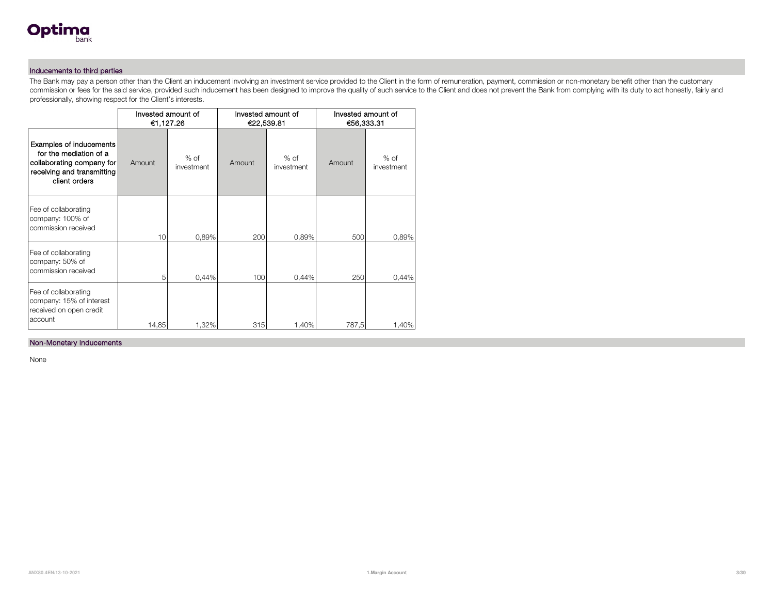

#### Inducements to third parties

The Bank may pay a person other than the Client an inducement involving an investment service provided to the Client in the form of remuneration, payment, commission or non-monetary benefit other than the customary commission or fees for the said service, provided such inducement has been designed to improve the quality of such service to the Client and does not prevent the Bank from complying with its duty to act honestly, fairly an professionally, showing respect for the Client's interests.

|                                                                                                                               |        | Invested amount of<br>€1,127.26 |        | Invested amount of<br>€22,539.81 | Invested amount of<br>€56,333.31 |                      |  |
|-------------------------------------------------------------------------------------------------------------------------------|--------|---------------------------------|--------|----------------------------------|----------------------------------|----------------------|--|
| Examples of inducements<br>for the mediation of a<br>collaborating company for<br>receiving and transmitting<br>client orders | Amount | $%$ of<br>investment            | Amount | $%$ of<br>investment             | Amount                           | $%$ of<br>investment |  |
| Fee of collaborating<br>company: 100% of<br>commission received                                                               | 10     | 0,89%                           | 200    | 0,89%                            | 500                              | 0,89%                |  |
| Fee of collaborating<br>company: 50% of<br>commission received                                                                | 5      | 0,44%                           | 100    | 0,44%                            | 250                              | 0,44%                |  |
| Fee of collaborating<br>company: 15% of interest<br>received on open credit<br>account                                        | 14,85  | 1,32%                           | 315    | 1,40%                            | 787,5                            | 1,40%                |  |

#### Non-Monetary Inducements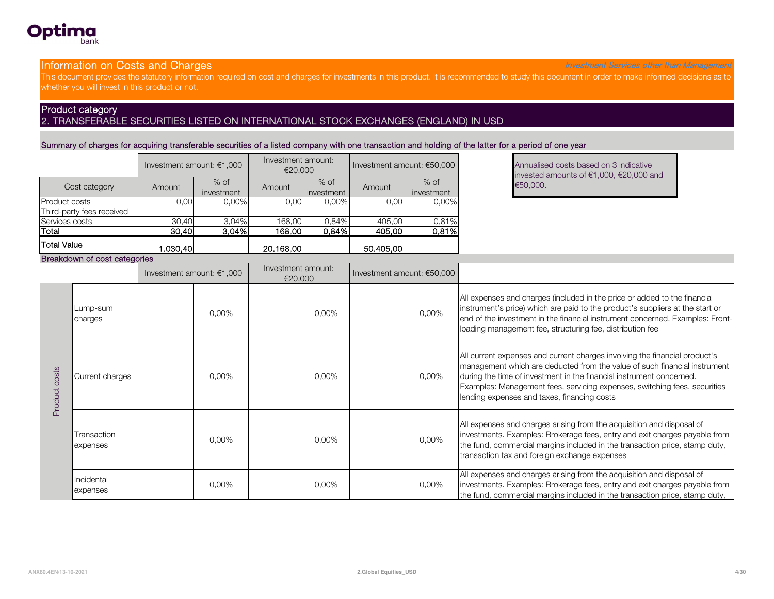

#### **Information on Costs and Charges Investment Services other than Management** Services other than Management

This document provides the statutory information required on cost and charges for investments in this product. It is recommended to study this document in order to make informed decisions as to whether you will invest in this product or not.

### Product category 2. TRANSFERABLE SECURITIES LISTED ON INTERNATIONAL STOCK EXCHANGES (ENGLAND) IN USD

#### Summary of charges for acquiring transferable securities of a listed company with one transaction and holding of the latter for a period of one year

|                           | Investment amount: $€1,000$ |                      | Investment amount:<br>€20,000 |                      |           | Investment amount: €50,000 | <b>Annualise</b><br>invested |
|---------------------------|-----------------------------|----------------------|-------------------------------|----------------------|-----------|----------------------------|------------------------------|
| Cost category             | Amount                      | $%$ of<br>investment | Amount                        | $%$ of<br>investment | Amount    | $%$ of<br>investment       | €50,000.                     |
| <b>Product costs</b>      | 0,00                        | $0.00\%$             | 0,00                          | 0,00%                | 0,00      | 0,00%                      |                              |
| Third-party fees received |                             |                      |                               |                      |           |                            |                              |
| Services costs            | 30.40                       | 3.04%                | 168.00                        | 0.84%                | 405.00    | 0.81%                      |                              |
| Total                     | 30,40                       | 3,04%                | 168,00                        | 0.84%                | 405,00    | 0,81%                      |                              |
| Total Value               | .030.40                     |                      | 20.168,00                     |                      | 50.405,00 |                            |                              |

Annualised costs based on 3 indicative invested amounts of €1,000, €20,000 and

#### Breakdown of cost categories

|                  |                         | Investment amount: $€1,000$ |          | Investment amount:<br>€20,000 |       | Investment amount: $€50,000$ |       |                                                                                                                                                                                                                                                                                                                                                             |
|------------------|-------------------------|-----------------------------|----------|-------------------------------|-------|------------------------------|-------|-------------------------------------------------------------------------------------------------------------------------------------------------------------------------------------------------------------------------------------------------------------------------------------------------------------------------------------------------------------|
|                  | Lump-sum<br>charges     |                             | $0.00\%$ |                               | 0,00% |                              | 0,00% | All expenses and charges (included in the price or added to the financial<br>instrument's price) which are paid to the product's suppliers at the start or<br>end of the investment in the financial instrument concerned. Examples: Front-<br>loading management fee, structuring fee, distribution fee                                                    |
| costs<br>Product | Current charges         |                             | $0.00\%$ |                               | 0,00% |                              | 0,00% | All current expenses and current charges involving the financial product's<br>management which are deducted from the value of such financial instrument<br>during the time of investment in the financial instrument concerned.<br>Examples: Management fees, servicing expenses, switching fees, securities<br>lending expenses and taxes, financing costs |
|                  | Transaction<br>expenses |                             | $0.00\%$ |                               | 0,00% |                              | 0,00% | All expenses and charges arising from the acquisition and disposal of<br>investments. Examples: Brokerage fees, entry and exit charges payable from<br>the fund, commercial margins included in the transaction price, stamp duty,<br>transaction tax and foreign exchange expenses                                                                         |
|                  | Incidental<br>expenses  |                             | 0,00%    |                               | 0,00% |                              | 0,00% | All expenses and charges arising from the acquisition and disposal of<br>investments. Examples: Brokerage fees, entry and exit charges payable from<br>the fund, commercial margins included in the transaction price, stamp duty,                                                                                                                          |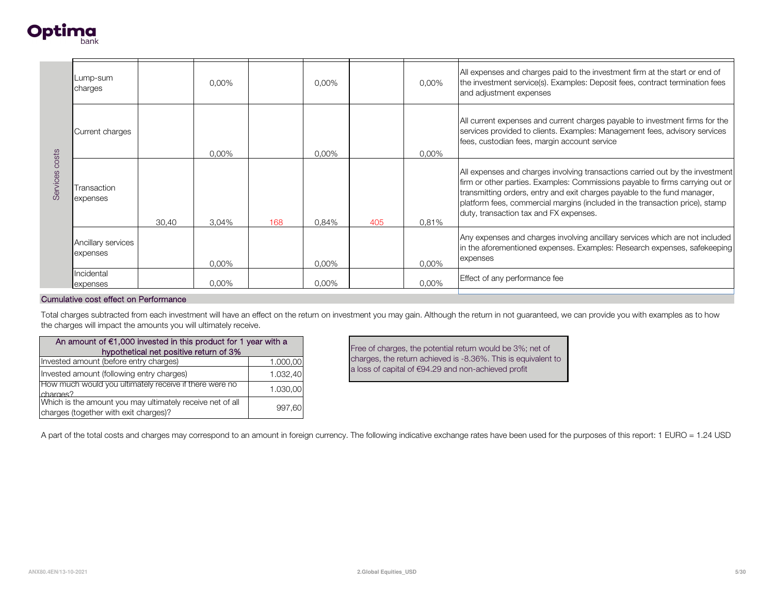

| Services costs                         | Lump-sum<br>charges                                                                                 | 0,00%                                  |          |          | 0,00%    |     | 0,00%                                                                                                                | All expenses and charges paid to the investment firm at the start or end of<br>the investment service(s). Examples: Deposit fees, contract termination fees<br>and adjustment expenses                                                                                                                                                                               |  |
|----------------------------------------|-----------------------------------------------------------------------------------------------------|----------------------------------------|----------|----------|----------|-----|----------------------------------------------------------------------------------------------------------------------|----------------------------------------------------------------------------------------------------------------------------------------------------------------------------------------------------------------------------------------------------------------------------------------------------------------------------------------------------------------------|--|
|                                        | Current charges                                                                                     | 0.00%<br>Transaction<br>30,40<br>3,04% |          |          | $0.00\%$ |     | $0.00\%$                                                                                                             | All current expenses and current charges payable to investment firms for the<br>services provided to clients. Examples: Management fees, advisory services<br>fees, custodian fees, margin account service                                                                                                                                                           |  |
|                                        | expenses                                                                                            |                                        |          | 168      | 0,84%    | 405 | 0,81%                                                                                                                | All expenses and charges involving transactions carried out by the investment<br>firm or other parties. Examples: Commissions payable to firms carrying out or<br>transmitting orders, entry and exit charges payable to the fund manager,<br>platform fees, commercial margins (included in the transaction price), stamp<br>duty, transaction tax and FX expenses. |  |
|                                        | Ancillary services<br>expenses                                                                      |                                        | 0,00%    |          | 0,00%    |     | 0,00%                                                                                                                | Any expenses and charges involving ancillary services which are not included<br>in the aforementioned expenses. Examples: Research expenses, safekeeping<br>expenses                                                                                                                                                                                                 |  |
|                                        | Incidental<br>expenses                                                                              |                                        | 0,00%    |          | 0,00%    |     | 0,00%                                                                                                                | Effect of any performance fee                                                                                                                                                                                                                                                                                                                                        |  |
|                                        | Cumulative cost effect on Performance                                                               |                                        |          |          |          |     |                                                                                                                      |                                                                                                                                                                                                                                                                                                                                                                      |  |
|                                        | the charges will impact the amounts you will ultimately receive.                                    |                                        |          |          |          |     |                                                                                                                      | Total charges subtracted from each investment will have an effect on the return on investment you may gain. Although the return in not guaranteed, we can provide you with examples as to how                                                                                                                                                                        |  |
|                                        | An amount of €1,000 invested in this product for 1 year with a                                      | hypothetical net positive return of 3% |          |          |          |     |                                                                                                                      | Free of charges, the potential return would be 3%; net of                                                                                                                                                                                                                                                                                                            |  |
| Invested amount (before entry charges) |                                                                                                     |                                        | 1.000,00 |          |          |     | charges, the return achieved is -8.36%. This is equivalent to<br>a loss of capital of €94.29 and non-achieved profit |                                                                                                                                                                                                                                                                                                                                                                      |  |
|                                        | Invested amount (following entry charges)<br>How much would you ultimately receive if there were no |                                        |          | 1.032,40 |          |     |                                                                                                                      |                                                                                                                                                                                                                                                                                                                                                                      |  |
| charges?                               |                                                                                                     |                                        |          | 1.030,00 |          |     |                                                                                                                      |                                                                                                                                                                                                                                                                                                                                                                      |  |

| An amount of $€1,000$ invested in this product for 1 year with a                                   |          |  |  |  |  |  |  |  |
|----------------------------------------------------------------------------------------------------|----------|--|--|--|--|--|--|--|
| hypothetical net positive return of 3%                                                             |          |  |  |  |  |  |  |  |
| Invested amount (before entry charges)                                                             | 1.000,00 |  |  |  |  |  |  |  |
| Invested amount (following entry charges)                                                          | 1.032,40 |  |  |  |  |  |  |  |
| How much would you ultimately receive if there were no<br>charges?                                 | 1.030,00 |  |  |  |  |  |  |  |
| Which is the amount you may ultimately receive net of all<br>charges (together with exit charges)? | 997.60   |  |  |  |  |  |  |  |

A part of the total costs and charges may correspond to an amount in foreign currency. The following indicative exchange rates have been used for the purposes of this report: 1 EURO = 1.24 USD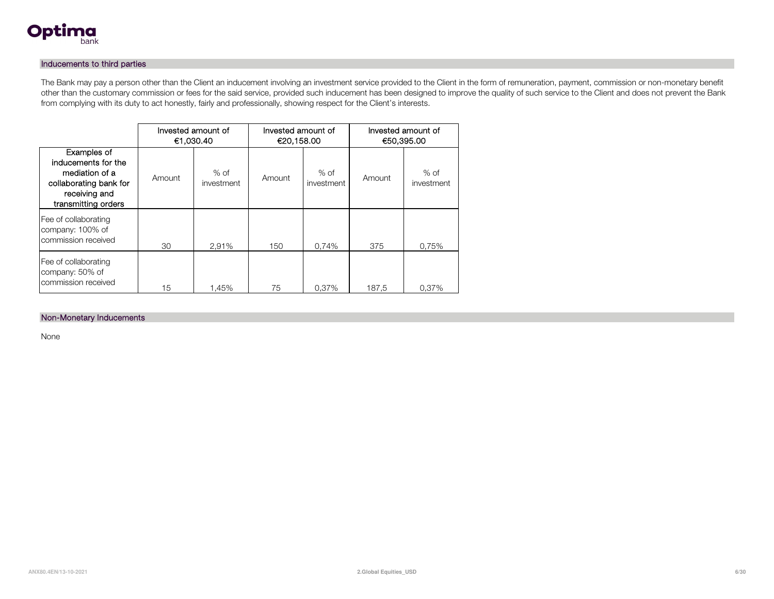

#### Inducements to third parties

The Bank may pay a person other than the Client an inducement involving an investment service provided to the Client in the form of remuneration, payment, commission or non-monetary benefit other than the customary commission or fees for the said service, provided such inducement has been designed to improve the quality of such service to the Client and does not prevent the Bank from complying with its duty to act honestly, fairly and professionally, showing respect for the Client's interests.

|                                                                                                                        | Invested amount of<br>€1,030.40 |                      | Invested amount of<br>€20,158.00 |                      | Invested amount of<br>€50,395.00 |                      |  |
|------------------------------------------------------------------------------------------------------------------------|---------------------------------|----------------------|----------------------------------|----------------------|----------------------------------|----------------------|--|
| Examples of<br>inducements for the<br>mediation of a<br>collaborating bank for<br>receiving and<br>transmitting orders | Amount                          | $%$ of<br>investment | Amount                           | $%$ of<br>investment | Amount                           | $%$ of<br>investment |  |
| Fee of collaborating<br>company: 100% of<br>commission received                                                        | 30                              | 2.91%                | 150                              | 0.74%                | 375                              | 0.75%                |  |
| Fee of collaborating<br>company: 50% of<br>commission received                                                         | 15                              | 1.45%                | 75                               | 0.37%                | 187,5                            | 0.37%                |  |

#### Non-Monetary Inducements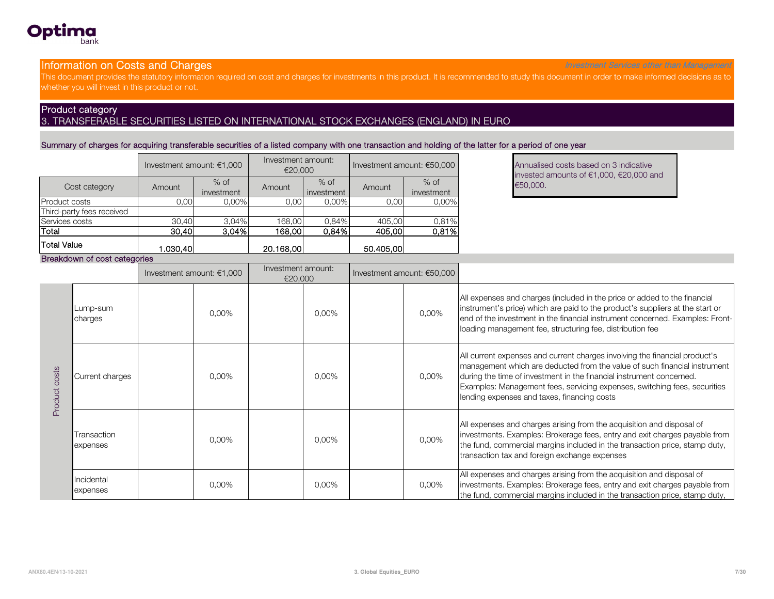

#### **Information on Costs and Charges Investment Services other than Management** Services other than Management

This document provides the statutory information required on cost and charges for investments in this product. It is recommended to study this document in order to make informed decisions as to whether you will invest in this product or not.

### Product category 3. TRANSFERABLE SECURITIES LISTED ON INTERNATIONAL STOCK EXCHANGES (ENGLAND) IN EURO

#### Summary of charges for acquiring transferable securities of a listed company with one transaction and holding of the latter for a period of one year

|                           | Investment amount: $€1,000$ |                      | Investment amount:<br>€20,000 |                      |           | Investment amount: $€50,000$ | <b>Annualise</b><br>invested |
|---------------------------|-----------------------------|----------------------|-------------------------------|----------------------|-----------|------------------------------|------------------------------|
| Cost category             | Amount                      | $%$ of<br>investment | Amount                        | $%$ of<br>investment | Amount    | $%$ of<br>investment         | €50,000.                     |
| Product costs             | 0,00                        | 0,00%                | 0,00                          | 0,00%                | 0,00      | 0,00%                        |                              |
| Third-party fees received |                             |                      |                               |                      |           |                              |                              |
| Services costs            | 30.40                       | 3.04%                | 168.00                        | 0.84%                | 405.00    | 0.81%                        |                              |
| Total                     | 30,40                       | 3,04%                | 168,00                        | 0.84%                | 405,00    | 0,81%                        |                              |
| <b>Total Value</b>        | 1.030.401                   |                      | 20.168.00                     |                      | 50,405,00 |                              |                              |

Annualised costs based on 3 indicative invested amounts of €1,000, €20,000 and

#### Breakdown of cost categories

|               |                         | Investment amount: $€1,000$ |          | Investment amount:<br>€20,000 |       | Investment amount: $€50,000$ |       |                                                                                                                                                                                                                                                                                                                                                             |
|---------------|-------------------------|-----------------------------|----------|-------------------------------|-------|------------------------------|-------|-------------------------------------------------------------------------------------------------------------------------------------------------------------------------------------------------------------------------------------------------------------------------------------------------------------------------------------------------------------|
|               | Lump-sum<br>charges     |                             | $0.00\%$ |                               | 0,00% |                              | 0,00% | All expenses and charges (included in the price or added to the financial<br>instrument's price) which are paid to the product's suppliers at the start or<br>end of the investment in the financial instrument concerned. Examples: Front-<br>loading management fee, structuring fee, distribution fee                                                    |
| Product costs | Current charges         |                             | $0.00\%$ |                               | 0,00% |                              | 0.00% | All current expenses and current charges involving the financial product's<br>management which are deducted from the value of such financial instrument<br>during the time of investment in the financial instrument concerned.<br>Examples: Management fees, servicing expenses, switching fees, securities<br>lending expenses and taxes, financing costs |
|               | Transaction<br>expenses |                             | $0.00\%$ |                               | 0,00% |                              | 0,00% | All expenses and charges arising from the acquisition and disposal of<br>investments. Examples: Brokerage fees, entry and exit charges payable from<br>the fund, commercial margins included in the transaction price, stamp duty,<br>transaction tax and foreign exchange expenses                                                                         |
|               | Incidental<br>expenses  |                             | 0,00%    |                               | 0,00% |                              | 0,00% | All expenses and charges arising from the acquisition and disposal of<br>investments. Examples: Brokerage fees, entry and exit charges payable from<br>the fund, commercial margins included in the transaction price, stamp duty,                                                                                                                          |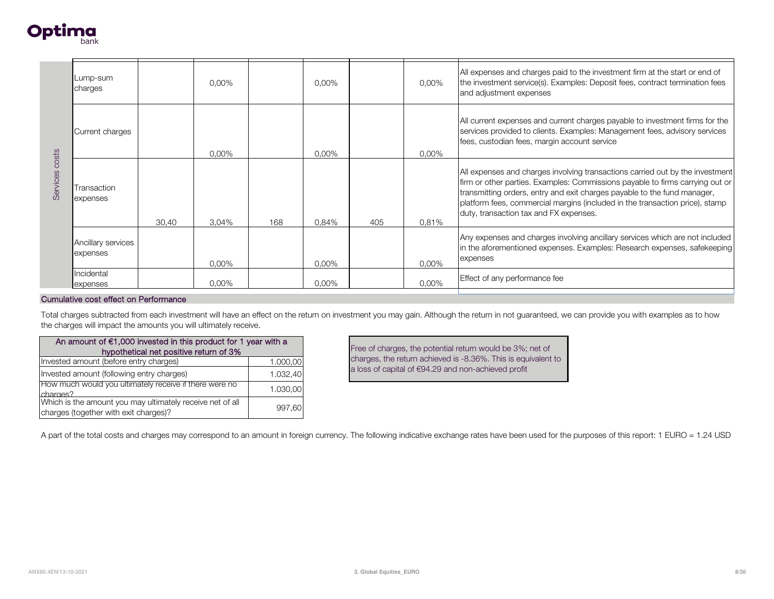

| Lump-sum<br>charges                    |          | 0,00%                                                                              |                                                                                                           | 0,00%                                                                                                                                                        |       | 0,00%    | All expenses and charges paid to the investment firm at the start or end of<br>the investment service(s). Examples: Deposit fees, contract termination fees<br>and adjustment expenses                                                                                                                                                                                                      |
|----------------------------------------|----------|------------------------------------------------------------------------------------|-----------------------------------------------------------------------------------------------------------|--------------------------------------------------------------------------------------------------------------------------------------------------------------|-------|----------|---------------------------------------------------------------------------------------------------------------------------------------------------------------------------------------------------------------------------------------------------------------------------------------------------------------------------------------------------------------------------------------------|
| Current charges                        |          | $0.00\%$                                                                           |                                                                                                           | $0.00\%$                                                                                                                                                     |       | $0.00\%$ | All current expenses and current charges payable to investment firms for the<br>services provided to clients. Examples: Management fees, advisory services<br>fees, custodian fees, margin account service                                                                                                                                                                                  |
| Transaction<br>expenses                | 30,40    | 3,04%                                                                              | 168                                                                                                       | 0.84%                                                                                                                                                        | 405   | 0,81%    | All expenses and charges involving transactions carried out by the investment<br>firm or other parties. Examples: Commissions payable to firms carrying out or<br>transmitting orders, entry and exit charges payable to the fund manager,<br>platform fees, commercial margins (included in the transaction price), stamp<br>duty, transaction tax and FX expenses.                        |
| Ancillary services<br>expenses         |          | 0,00%                                                                              |                                                                                                           | 0,00%                                                                                                                                                        |       | $0.00\%$ | Any expenses and charges involving ancillary services which are not included<br>in the aforementioned expenses. Examples: Research expenses, safekeeping<br>expenses                                                                                                                                                                                                                        |
| Incidental                             |          |                                                                                    |                                                                                                           |                                                                                                                                                              |       |          | Effect of any performance fee                                                                                                                                                                                                                                                                                                                                                               |
|                                        |          |                                                                                    |                                                                                                           |                                                                                                                                                              |       |          |                                                                                                                                                                                                                                                                                                                                                                                             |
|                                        |          |                                                                                    |                                                                                                           |                                                                                                                                                              |       |          |                                                                                                                                                                                                                                                                                                                                                                                             |
|                                        |          |                                                                                    |                                                                                                           |                                                                                                                                                              |       |          |                                                                                                                                                                                                                                                                                                                                                                                             |
| Invested amount (before entry charges) |          | 1.000,00                                                                           |                                                                                                           |                                                                                                                                                              |       |          |                                                                                                                                                                                                                                                                                                                                                                                             |
|                                        |          |                                                                                    |                                                                                                           |                                                                                                                                                              |       |          |                                                                                                                                                                                                                                                                                                                                                                                             |
| charges?                               |          |                                                                                    |                                                                                                           |                                                                                                                                                              |       |          |                                                                                                                                                                                                                                                                                                                                                                                             |
|                                        | expenses | Cumulative cost effect on Performance<br>Invested amount (following entry charges) | 0,00%<br>hypothetical net positive return of 3%<br>How much would you ultimately receive if there were no | the charges will impact the amounts you will ultimately receive.<br>An amount of $€1,000$ invested in this product for 1 year with a<br>1.032,40<br>1.030,00 | 0,00% |          | 0,00%<br>Total charges subtracted from each investment will have an effect on the return on investment you may gain. Although the return in not guaranteed, we can provide you with examples as to how<br>Free of charges, the potential return would be 3%; net of<br>charges, the return achieved is -8.36%. This is equivalent to<br>a loss of capital of €94.29 and non-achieved profit |

| An amount of $€1,000$ invested in this product for 1 year with a                                   |          |  |  |  |  |  |  |
|----------------------------------------------------------------------------------------------------|----------|--|--|--|--|--|--|
| hypothetical net positive return of 3%                                                             |          |  |  |  |  |  |  |
| Invested amount (before entry charges)                                                             | 1.000,00 |  |  |  |  |  |  |
| Invested amount (following entry charges)                                                          | 1.032,40 |  |  |  |  |  |  |
| How much would you ultimately receive if there were no<br>charges?                                 | 1.030,00 |  |  |  |  |  |  |
| Which is the amount you may ultimately receive net of all<br>charges (together with exit charges)? | 997.60   |  |  |  |  |  |  |

A part of the total costs and charges may correspond to an amount in foreign currency. The following indicative exchange rates have been used for the purposes of this report: 1 EURO = 1.24 USD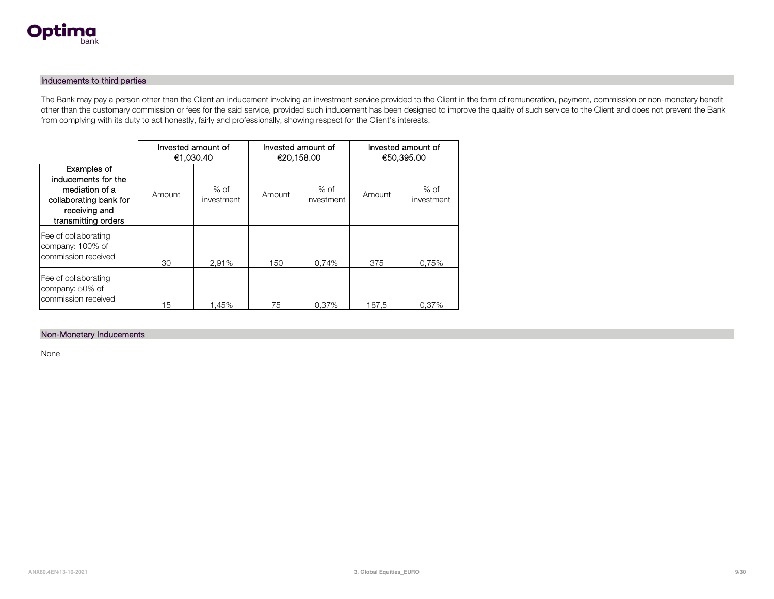

#### Inducements to third parties

The Bank may pay a person other than the Client an inducement involving an investment service provided to the Client in the form of remuneration, payment, commission or non-monetary benefit other than the customary commission or fees for the said service, provided such inducement has been designed to improve the quality of such service to the Client and does not prevent the Bank from complying with its duty to act honestly, fairly and professionally, showing respect for the Client's interests.

|                                                                                                                        | €1.030.40 | Invested amount of   | Invested amount of<br>€20,158.00 |                      | Invested amount of<br>€50,395.00 |                      |
|------------------------------------------------------------------------------------------------------------------------|-----------|----------------------|----------------------------------|----------------------|----------------------------------|----------------------|
| Examples of<br>inducements for the<br>mediation of a<br>collaborating bank for<br>receiving and<br>transmitting orders | Amount    | $%$ of<br>investment | Amount                           | $%$ of<br>investment | Amount                           | $%$ of<br>investment |
| Fee of collaborating<br>company: 100% of<br>commission received                                                        | 30        | 2.91%                | 150                              | 0.74%                | 375                              | 0.75%                |
| Fee of collaborating<br>company: 50% of<br>commission received                                                         | 15        | 1.45%                | 75                               | 0.37%                | 187.5                            | 0.37%                |

#### Non-Monetary Inducements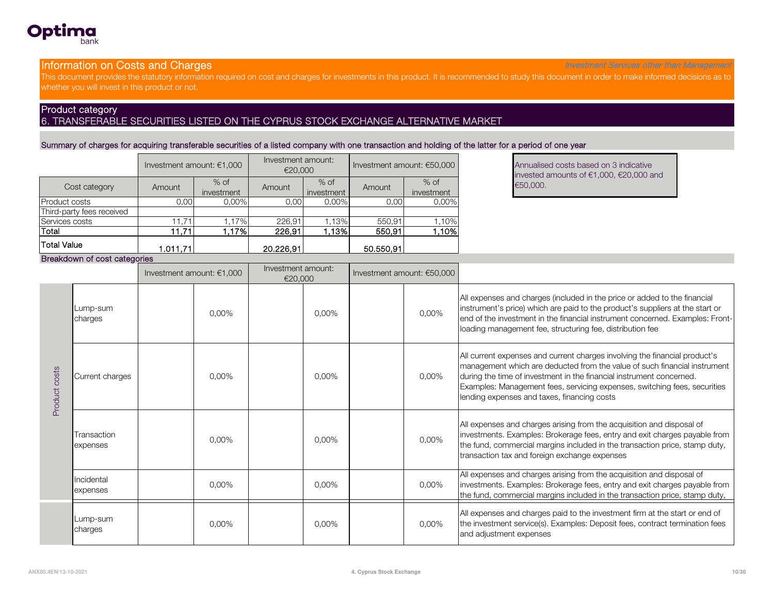

#### **Information on Costs and Charges Investment Services other than Management** Services other than Management

This document provides the statutory information required on cost and charges for investments in this product. It is recommended to study this document in order to make informed decisions as to whether you will invest in this product or not.

### Product category 6. TRANSFERABLE SECURITIES LISTED ON THE CYPRUS STOCK EXCHANGE ALTERNATIVE MARKET

Summary of charges for acquiring transferable securities of a listed company with one transaction and holding of the latter for a period of one year

|                           | Investment amount: $€1,000$ |                      | Investment amount:<br>€20,000 |                      |           | Investment amount: €50,000 | <b>Annualise</b><br>invested |  |
|---------------------------|-----------------------------|----------------------|-------------------------------|----------------------|-----------|----------------------------|------------------------------|--|
| Cost category             | Amount                      | $%$ of<br>investment | Amount                        | $%$ of<br>investment | Amount    | $%$ of<br>investment       | €50,000.                     |  |
| <b>Product costs</b>      | 0,00                        | 0,00%                | 0,00                          | 0,00%                | 0.00      | 0,00%                      |                              |  |
| Third-party fees received |                             |                      |                               |                      |           |                            |                              |  |
| Services costs            | 11.71                       | 1.17%                | 226,91                        | .13%                 | 550,91    | 10%                        |                              |  |
| Total                     | 11,71                       | .17%                 | 226,91                        | .13%                 | 550,91    | .10%l                      |                              |  |
| Total Value               | 1.011.71                    |                      | 20.226.91                     |                      | 50.550,91 |                            |                              |  |

Annualised costs based on 3 indicative invested amounts of €1,000, €20,000 and

#### Breakdown of cost categories

|               |                         | Investment amount: $€1,000$ |          | Investment amount:<br>€20,000 |       | Investment amount: €50,000 |       |                                                                                                                                                                                                                                                                                                                                                             |
|---------------|-------------------------|-----------------------------|----------|-------------------------------|-------|----------------------------|-------|-------------------------------------------------------------------------------------------------------------------------------------------------------------------------------------------------------------------------------------------------------------------------------------------------------------------------------------------------------------|
| Product costs | Lump-sum<br>charges     |                             | $0.00\%$ |                               | 0,00% |                            | 0,00% | All expenses and charges (included in the price or added to the financial<br>instrument's price) which are paid to the product's suppliers at the start or<br>end of the investment in the financial instrument concerned. Examples: Front-<br>loading management fee, structuring fee, distribution fee                                                    |
|               | Current charges         |                             | $0.00\%$ |                               | 0,00% |                            | 0,00% | All current expenses and current charges involving the financial product's<br>management which are deducted from the value of such financial instrument<br>during the time of investment in the financial instrument concerned.<br>Examples: Management fees, servicing expenses, switching fees, securities<br>lending expenses and taxes, financing costs |
|               | Transaction<br>expenses |                             | $0.00\%$ |                               | 0,00% |                            | 0,00% | All expenses and charges arising from the acquisition and disposal of<br>investments. Examples: Brokerage fees, entry and exit charges payable from<br>the fund, commercial margins included in the transaction price, stamp duty,<br>transaction tax and foreign exchange expenses                                                                         |
|               | Incidental<br>expenses  |                             | 0,00%    |                               | 0,00% |                            | 0,00% | All expenses and charges arising from the acquisition and disposal of<br>investments. Examples: Brokerage fees, entry and exit charges payable from<br>the fund, commercial margins included in the transaction price, stamp duty,                                                                                                                          |
|               | Lump-sum<br>charges     |                             | 0,00%    |                               | 0,00% |                            | 0,00% | All expenses and charges paid to the investment firm at the start or end of<br>the investment service(s). Examples: Deposit fees, contract termination fees<br>and adjustment expenses                                                                                                                                                                      |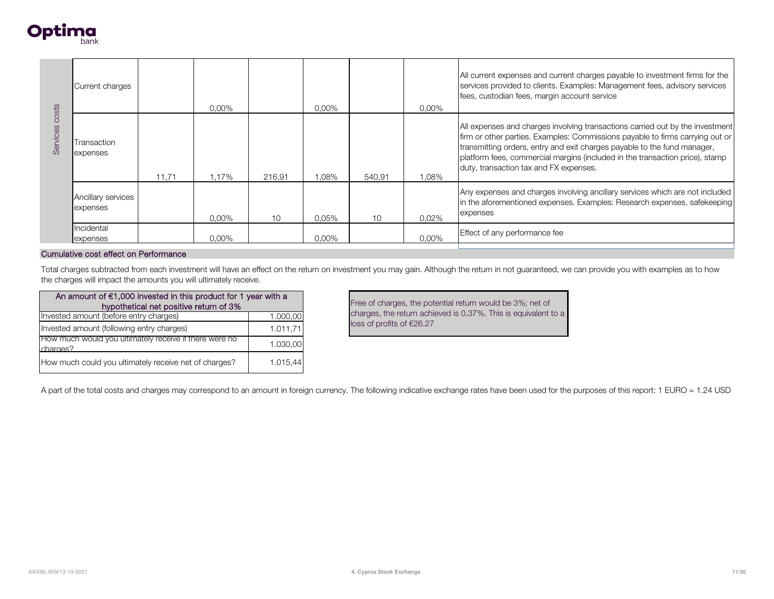

| osts<br>Services | Current charges                |       | $0.00\%$ |        | 0.00% |        | 0,00% | All current expenses and current charges payable to investment firms for the<br>services provided to clients. Examples: Management fees, advisory services<br>fees, custodian fees, margin account service                                                                                                                                                           |
|------------------|--------------------------------|-------|----------|--------|-------|--------|-------|----------------------------------------------------------------------------------------------------------------------------------------------------------------------------------------------------------------------------------------------------------------------------------------------------------------------------------------------------------------------|
|                  | Transaction<br>expenses        | 11,71 | 1,17%    | 216,91 | ,08%  | 540,91 | 1,08% | All expenses and charges involving transactions carried out by the investment<br>firm or other parties. Examples: Commissions payable to firms carrying out or<br>transmitting orders, entry and exit charges payable to the fund manager,<br>platform fees, commercial margins (included in the transaction price), stamp<br>duty, transaction tax and FX expenses. |
|                  | Ancillary services<br>expenses |       | $0.00\%$ | 10     | 0,05% | 10     | 0.02% | Any expenses and charges involving ancillary services which are not included<br>in the aforementioned expenses. Examples: Research expenses, safekeeping<br>expenses                                                                                                                                                                                                 |
|                  | Incidental<br>expenses         |       | $0.00\%$ |        | 0,00% |        | 0,00% | Effect of any performance fee                                                                                                                                                                                                                                                                                                                                        |

Total charges subtracted from each investment will have an effect on the return on investment you may gain. Although the return in not guaranteed, we can provide you with examples as to how the charges will impact the amounts you will ultimately receive.

| An amount of €1,000 invested in this product for 1 year with a     |          |  |  |  |  |  |  |
|--------------------------------------------------------------------|----------|--|--|--|--|--|--|
| hypothetical net positive return of 3%                             |          |  |  |  |  |  |  |
| Invested amount (before entry charges)                             | 1.000,00 |  |  |  |  |  |  |
| Invested amount (following entry charges)                          | 1.011,71 |  |  |  |  |  |  |
| How much would you ultimately receive if there were no<br>charges? | 1.030.00 |  |  |  |  |  |  |
| How much could you ultimately receive net of charges?              | 1.015.44 |  |  |  |  |  |  |

Free of charges, the potential return would be 3%; net of charges, the return achieved is 0.37%. This is equivalent to a loss of profits of €26.27

A part of the total costs and charges may correspond to an amount in foreign currency. The following indicative exchange rates have been used for the purposes of this report: 1 EURO = 1.24 USD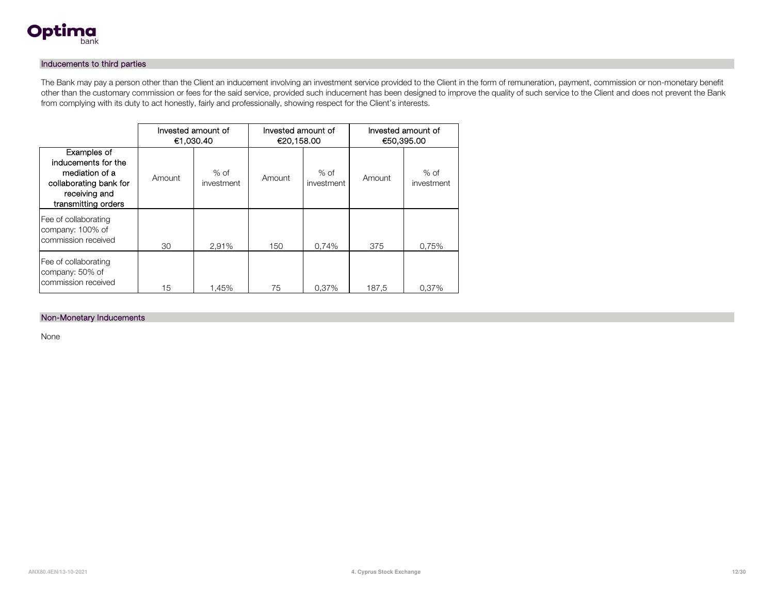

#### Inducements to third parties

The Bank may pay a person other than the Client an inducement involving an investment service provided to the Client in the form of remuneration, payment, commission or non-monetary benefit other than the customary commission or fees for the said service, provided such inducement has been designed to improve the quality of such service to the Client and does not prevent the Bank from complying with its duty to act honestly, fairly and professionally, showing respect for the Client's interests.

|                                                                                                                        | €1,030.40 | Invested amount of   | Invested amount of<br>€20,158.00 |                      | Invested amount of<br>€50,395.00 |                      |
|------------------------------------------------------------------------------------------------------------------------|-----------|----------------------|----------------------------------|----------------------|----------------------------------|----------------------|
| Examples of<br>inducements for the<br>mediation of a<br>collaborating bank for<br>receiving and<br>transmitting orders | Amount    | $%$ of<br>investment | Amount                           | $%$ of<br>investment | Amount                           | $%$ of<br>investment |
| Fee of collaborating<br>company: 100% of<br>commission received                                                        | 30        | 2.91%                | 150                              | 0,74%                | 375                              | 0,75%                |
| Fee of collaborating<br>company: 50% of<br>commission received                                                         | 15        | 1.45%                | 75                               | 0.37%                | 187,5                            | 0,37%                |

#### Non-Monetary Inducements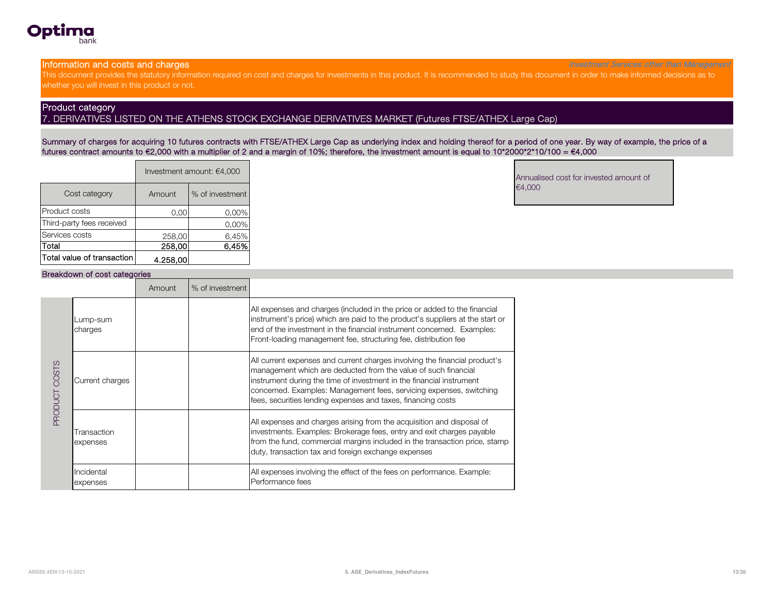

**Information and costs and charges** Investment Services other than Management Services other than Management Services other than Management

This document provides the statutory information required on cost and charges for investments in this product. It is recommended to study this document in order to make informed decisions as to whether you will invest in this product or not.

#### Product category

7. DERIVATIVES LISTED ON THE ATHENS STOCK EXCHANGE DERIVATIVES MARKET (Futures FTSE/ATHEX Large Cap)

Summary of charges for acquiring 10 futures contracts with FTSE/ATHEX Large Cap as underlying index and holding thereof for a period of one year. By way of example, the price of a futures contract amounts to €2,000 with a multiplier of 2 and a margin of 10%; therefore, the investment amount is equal to 10\*2000\*2\*10/100 = €4,000

|                            |          | Investment amount: €4,000 |
|----------------------------|----------|---------------------------|
| Cost category              | Amount   | % of investment           |
| Product costs              | 0.00     | 0,00%                     |
| Third-party fees received  |          | 0,00%                     |
| Services costs             | 258,00   | 6,45%                     |
| Total                      | 258,00   | 6.45%                     |
| Total value of transaction | 4.258,00 |                           |

Annualised cost for invested amount of €4,000

#### Breakdown of cost categories

|                         |                         | Amount | % of investment |                                                                                                                                                                                                                                                                                                                                                             |
|-------------------------|-------------------------|--------|-----------------|-------------------------------------------------------------------------------------------------------------------------------------------------------------------------------------------------------------------------------------------------------------------------------------------------------------------------------------------------------------|
| COSTS<br><b>LOUDORS</b> | Lump-sum<br>charges     |        |                 | All expenses and charges (included in the price or added to the financial<br>instrument's price) which are paid to the product's suppliers at the start or<br>end of the investment in the financial instrument concerned. Examples:<br>Front-loading management fee, structuring fee, distribution fee                                                     |
|                         | Current charges         |        |                 | All current expenses and current charges involving the financial product's<br>management which are deducted from the value of such financial<br>instrument during the time of investment in the financial instrument<br>concerned. Examples: Management fees, servicing expenses, switching<br>fees, securities lending expenses and taxes, financing costs |
|                         | Transaction<br>expenses |        |                 | All expenses and charges arising from the acquisition and disposal of<br>investments. Examples: Brokerage fees, entry and exit charges payable<br>from the fund, commercial margins included in the transaction price, stamp<br>duty, transaction tax and foreign exchange expenses                                                                         |
|                         | Incidental<br>expenses  |        |                 | All expenses involving the effect of the fees on performance. Example:<br>Performance fees                                                                                                                                                                                                                                                                  |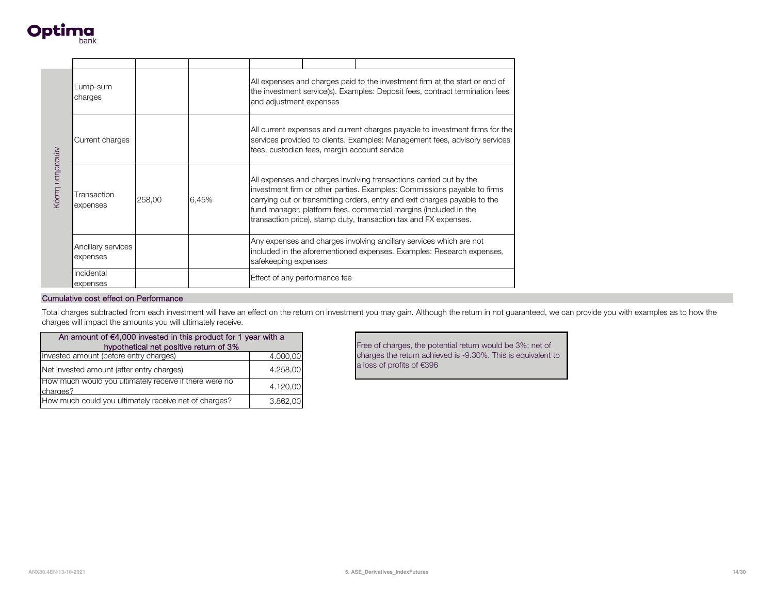

| Κόστη υπηρεσιών | Lump-sum<br>charges                                            |        |                                                                                                                                                                                                            | All expenses and charges paid to the investment firm at the start or end of<br>the investment service(s). Examples: Deposit fees, contract termination fees<br>and adjustment expenses                                                                                                                                                                               |  |                                                                                                                                              |
|-----------------|----------------------------------------------------------------|--------|------------------------------------------------------------------------------------------------------------------------------------------------------------------------------------------------------------|----------------------------------------------------------------------------------------------------------------------------------------------------------------------------------------------------------------------------------------------------------------------------------------------------------------------------------------------------------------------|--|----------------------------------------------------------------------------------------------------------------------------------------------|
|                 | Current charges                                                |        | All current expenses and current charges payable to investment firms for the<br>services provided to clients. Examples: Management fees, advisory services<br>fees, custodian fees, margin account service |                                                                                                                                                                                                                                                                                                                                                                      |  |                                                                                                                                              |
|                 | Transaction<br>expenses                                        | 258,00 | 6,45%                                                                                                                                                                                                      | All expenses and charges involving transactions carried out by the<br>investment firm or other parties. Examples: Commissions payable to firms<br>carrying out or transmitting orders, entry and exit charges payable to the<br>fund manager, platform fees, commercial margins (included in the<br>transaction price), stamp duty, transaction tax and FX expenses. |  |                                                                                                                                              |
|                 | Ancillary services<br>expenses                                 |        |                                                                                                                                                                                                            | safekeeping expenses                                                                                                                                                                                                                                                                                                                                                 |  | Any expenses and charges involving ancillary services which are not<br>included in the aforementioned expenses. Examples: Research expenses, |
|                 | Incidental<br>expenses                                         |        |                                                                                                                                                                                                            | Effect of any performance fee                                                                                                                                                                                                                                                                                                                                        |  |                                                                                                                                              |
|                 | Cumulative cost effect on Performance                          |        |                                                                                                                                                                                                            |                                                                                                                                                                                                                                                                                                                                                                      |  |                                                                                                                                              |
|                 | charges will impact the amounts you will ultimately receive.   |        |                                                                                                                                                                                                            |                                                                                                                                                                                                                                                                                                                                                                      |  | Total charges subtracted from each investment will have an effect on the return on investment you may gain. Although the return in not gua   |
|                 | An amount of €4,000 invested in this product for 1 year with a |        |                                                                                                                                                                                                            |                                                                                                                                                                                                                                                                                                                                                                      |  | Free of charges, the potential return would be 3                                                                                             |
|                 | Invested amount (before entry charges)                         |        | hypothetical net positive return of 3%                                                                                                                                                                     | 4.000,00                                                                                                                                                                                                                                                                                                                                                             |  | charges the return achieved is -9.30%. This is e                                                                                             |
|                 | Net invested amount (after entry charges)                      |        |                                                                                                                                                                                                            | 4.258,00                                                                                                                                                                                                                                                                                                                                                             |  | a loss of profits of €396                                                                                                                    |
| charges?        | How much would you ultimately receive if there were no         |        |                                                                                                                                                                                                            | 4.120,00                                                                                                                                                                                                                                                                                                                                                             |  |                                                                                                                                              |
|                 |                                                                |        |                                                                                                                                                                                                            |                                                                                                                                                                                                                                                                                                                                                                      |  |                                                                                                                                              |

Total charges subtracted from each investment will have an effect on the return on investment you may gain. Although the return in not guaranteed, we can provide you with examples as to how the charges will impact the amounts you will ultimately receive.

| An amount of $€4,000$ invested in this product for 1 year with a   |          |  |  |  |  |
|--------------------------------------------------------------------|----------|--|--|--|--|
| hypothetical net positive return of 3%                             |          |  |  |  |  |
| Invested amount (before entry charges)                             | 4.000,00 |  |  |  |  |
| Net invested amount (after entry charges)                          | 4.258.00 |  |  |  |  |
| How much would you ultimately receive if there were no<br>charges? | 4.120.00 |  |  |  |  |
| How much could you ultimately receive net of charges?              | 3.862,00 |  |  |  |  |

Free of charges, the potential return would be 3%; net of charges the return achieved is -9.30%. This is equivalent to a loss of profits of €396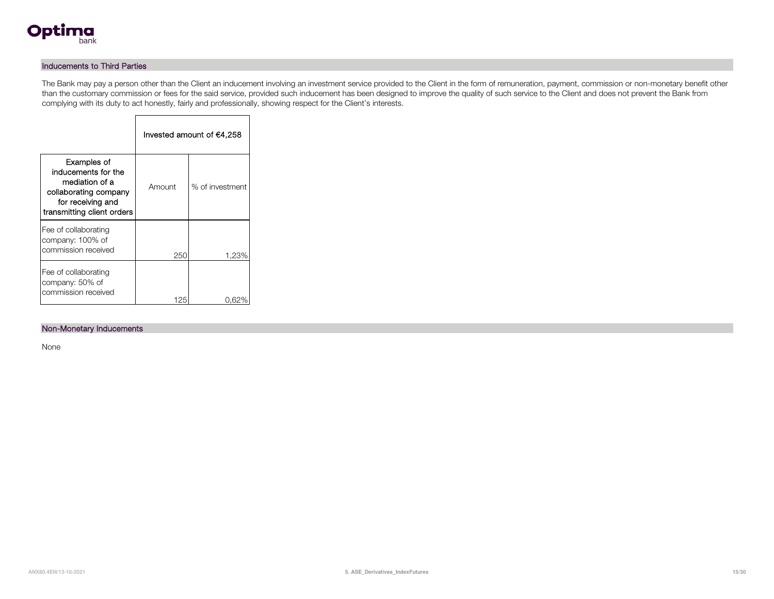

### Inducements to Third Parties

The Bank may pay a person other than the Client an inducement involving an investment service provided to the Client in the form of remuneration, payment, commission or non-monetary benefit other than the customary commission or fees for the said service, provided such inducement has been designed to improve the quality of such service to the Client and does not prevent the Bank from complying with its duty to act honestly, fairly and professionally, showing respect for the Client's interests.

|                                                                                                                                  | Invested amount of €4,258 |                 |  |  |  |
|----------------------------------------------------------------------------------------------------------------------------------|---------------------------|-----------------|--|--|--|
| Examples of<br>inducements for the<br>mediation of a<br>collaborating company<br>for receiving and<br>transmitting client orders | Amount                    | % of investment |  |  |  |
| Fee of collaborating<br>company: 100% of<br>commission received                                                                  | 250                       | 1,23%           |  |  |  |
| Fee of collaborating<br>company: 50% of<br>commission received                                                                   | 125                       |                 |  |  |  |

Г

#### Non-Monetary Inducements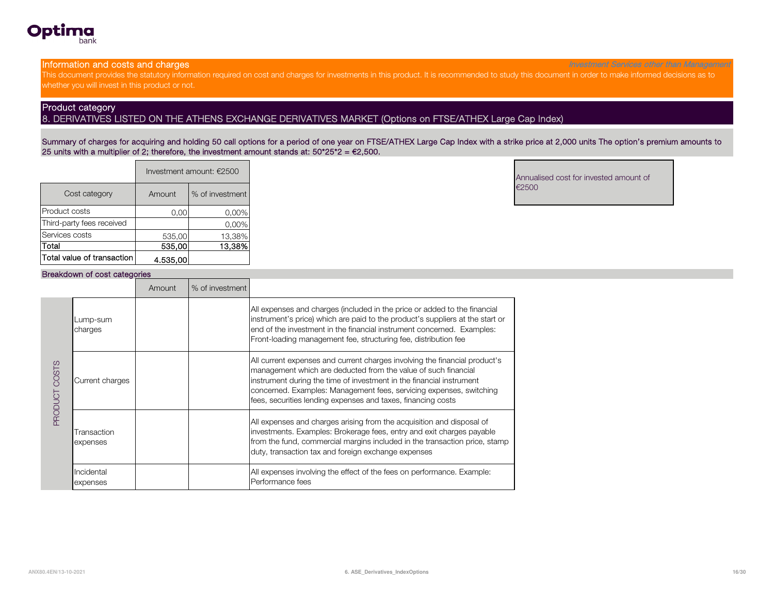

**Information and costs and charges** Investment Services other than Management Services other than Management Services other than Management

This document provides the statutory information required on cost and charges for investments in this product. It is recommended to study this document in order to make informed decisions as to whether you will invest in this product or not.

#### Product category

8. DERIVATIVES LISTED ON THE ATHENS EXCHANGE DERIVATIVES MARKET (Options on FTSE/ATHEX Large Cap Index)

Summary of charges for acquiring and holding 50 call options for a period of one year on FTSE/ATHEX Large Cap Index with a strike price at 2,000 units The option's premium amounts to 25 units with a multiplier of 2; therefore, the investment amount stands at:  $50*25*2 = 62,500$ .

|                            | Investment amount: €2500 |                 |  |  |  |
|----------------------------|--------------------------|-----------------|--|--|--|
| Cost category              | Amount                   | % of investment |  |  |  |
| Product costs              | 0.00                     | 0,00%           |  |  |  |
| Third-party fees received  |                          | 0,00%           |  |  |  |
| Services costs             | 535,00                   | 13,38%          |  |  |  |
| lTotal                     | 535,00                   | 13.38%          |  |  |  |
| Total value of transaction | 4.535.00                 |                 |  |  |  |

Annualised cost for invested amount of €2500

#### Breakdown of cost categories

|                        |                         | Amount | % of investment |                                                                                                                                                                                                                                                                                                                                                             |
|------------------------|-------------------------|--------|-----------------|-------------------------------------------------------------------------------------------------------------------------------------------------------------------------------------------------------------------------------------------------------------------------------------------------------------------------------------------------------------|
| COSTS<br><b>TOUGHE</b> | Lump-sum<br>charges     |        |                 | All expenses and charges (included in the price or added to the financial<br>instrument's price) which are paid to the product's suppliers at the start or<br>end of the investment in the financial instrument concerned. Examples:<br>Front-loading management fee, structuring fee, distribution fee                                                     |
|                        | Current charges         |        |                 | All current expenses and current charges involving the financial product's<br>management which are deducted from the value of such financial<br>instrument during the time of investment in the financial instrument<br>concerned. Examples: Management fees, servicing expenses, switching<br>fees, securities lending expenses and taxes, financing costs |
|                        | Transaction<br>expenses |        |                 | All expenses and charges arising from the acquisition and disposal of<br>investments. Examples: Brokerage fees, entry and exit charges payable<br>from the fund, commercial margins included in the transaction price, stamp<br>duty, transaction tax and foreign exchange expenses                                                                         |
|                        | Incidental<br>expenses  |        |                 | All expenses involving the effect of the fees on performance. Example:<br>Performance fees                                                                                                                                                                                                                                                                  |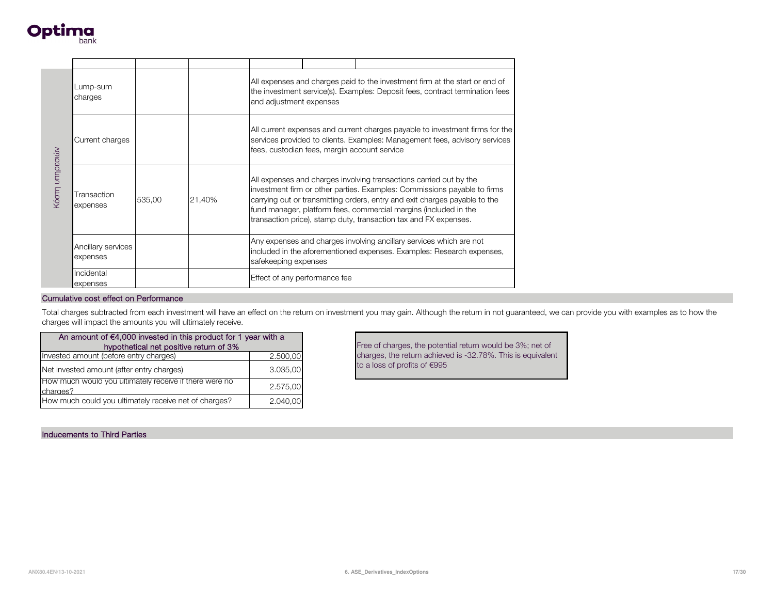

| Κόστη υπηρεσιών                                                                  | Lump-sum<br>charges                                            |          |                                                                                                                                                                                                            | All expenses and charges paid to the investment firm at the start or end of<br>the investment service(s). Examples: Deposit fees, contract termination fees<br>and adjustment expenses                                                                                                                                                                               |  |                                                                                                                                            |
|----------------------------------------------------------------------------------|----------------------------------------------------------------|----------|------------------------------------------------------------------------------------------------------------------------------------------------------------------------------------------------------------|----------------------------------------------------------------------------------------------------------------------------------------------------------------------------------------------------------------------------------------------------------------------------------------------------------------------------------------------------------------------|--|--------------------------------------------------------------------------------------------------------------------------------------------|
|                                                                                  | Current charges                                                |          | All current expenses and current charges payable to investment firms for the<br>services provided to clients. Examples: Management fees, advisory services<br>fees, custodian fees, margin account service |                                                                                                                                                                                                                                                                                                                                                                      |  |                                                                                                                                            |
|                                                                                  | Transaction<br>expenses                                        | 535,00   | 21,40%                                                                                                                                                                                                     | All expenses and charges involving transactions carried out by the<br>investment firm or other parties. Examples: Commissions payable to firms<br>carrying out or transmitting orders, entry and exit charges payable to the<br>fund manager, platform fees, commercial margins (included in the<br>transaction price), stamp duty, transaction tax and FX expenses. |  |                                                                                                                                            |
|                                                                                  | Ancillary services<br>expenses                                 |          |                                                                                                                                                                                                            | Any expenses and charges involving ancillary services which are not<br>included in the aforementioned expenses. Examples: Research expenses,<br>safekeeping expenses                                                                                                                                                                                                 |  |                                                                                                                                            |
|                                                                                  | Incidental<br>expenses                                         |          |                                                                                                                                                                                                            | Effect of any performance fee                                                                                                                                                                                                                                                                                                                                        |  |                                                                                                                                            |
|                                                                                  | Cumulative cost effect on Performance                          |          |                                                                                                                                                                                                            |                                                                                                                                                                                                                                                                                                                                                                      |  |                                                                                                                                            |
|                                                                                  | charges will impact the amounts you will ultimately receive.   |          |                                                                                                                                                                                                            |                                                                                                                                                                                                                                                                                                                                                                      |  | Total charges subtracted from each investment will have an effect on the return on investment you may gain. Although the return in not gua |
|                                                                                  | An amount of €4,000 invested in this product for 1 year with a |          |                                                                                                                                                                                                            |                                                                                                                                                                                                                                                                                                                                                                      |  | Free of charges, the potential return would be 3                                                                                           |
| hypothetical net positive return of 3%<br>Invested amount (before entry charges) |                                                                | 2.500,00 |                                                                                                                                                                                                            | charges, the return achieved is -32.78%. This is                                                                                                                                                                                                                                                                                                                     |  |                                                                                                                                            |
|                                                                                  | Net invested amount (after entry charges)                      |          |                                                                                                                                                                                                            | 3.035,00                                                                                                                                                                                                                                                                                                                                                             |  | to a loss of profits of €995                                                                                                               |
| charges?                                                                         | How much would you ultimately receive if there were no         |          |                                                                                                                                                                                                            | 2.575,00                                                                                                                                                                                                                                                                                                                                                             |  |                                                                                                                                            |
|                                                                                  |                                                                |          |                                                                                                                                                                                                            |                                                                                                                                                                                                                                                                                                                                                                      |  |                                                                                                                                            |

Total charges subtracted from each investment will have an effect on the return on investment you may gain. Although the return in not guaranteed, we can provide you with examples as to how the charges will impact the amounts you will ultimately receive.

| An amount of $€4,000$ invested in this product for 1 year with a<br>hypothetical net positive return of 3% |          |  |  |  |  |
|------------------------------------------------------------------------------------------------------------|----------|--|--|--|--|
| Invested amount (before entry charges)                                                                     | 2.500,00 |  |  |  |  |
| Net invested amount (after entry charges)                                                                  | 3.035.00 |  |  |  |  |
| How much would you ultimately receive if there were no<br>charges?                                         | 2.575,00 |  |  |  |  |
| How much could you ultimately receive net of charges?                                                      | 2.040.00 |  |  |  |  |

Inducements to Third Parties

Free of charges, the potential return would be 3%; net of charges, the return achieved is -32.78%. This is equivalent to a loss of profits of €995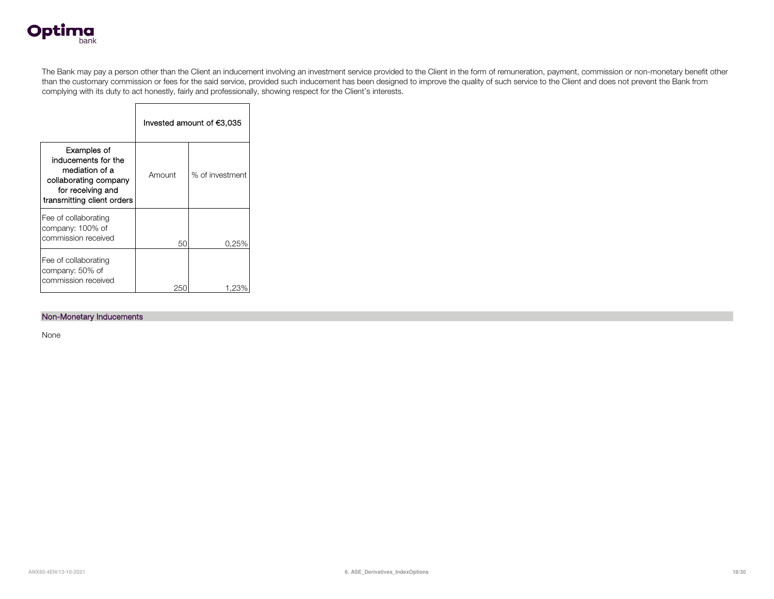

The Bank may pay a person other than the Client an inducement involving an investment service provided to the Client in the form of remuneration, payment, commission or non-monetary benefit other than the customary commission or fees for the said service, provided such inducement has been designed to improve the quality of such service to the Client and does not prevent the Bank from complying with its duty to act honestly, fairly and professionally, showing respect for the Client's interests.

|                                                                                                                                  | Invested amount of €3,035 |                 |  |  |  |
|----------------------------------------------------------------------------------------------------------------------------------|---------------------------|-----------------|--|--|--|
| Examples of<br>inducements for the<br>mediation of a<br>collaborating company<br>for receiving and<br>transmitting client orders | Amount                    | % of investment |  |  |  |
| Fee of collaborating<br>company: 100% of<br>commission received                                                                  | 50                        | 0.25%           |  |  |  |
| Fee of collaborating<br>company: 50% of<br>commission received                                                                   | 250                       | 1.23            |  |  |  |

 $\blacksquare$ 

#### Non-Monetary Inducements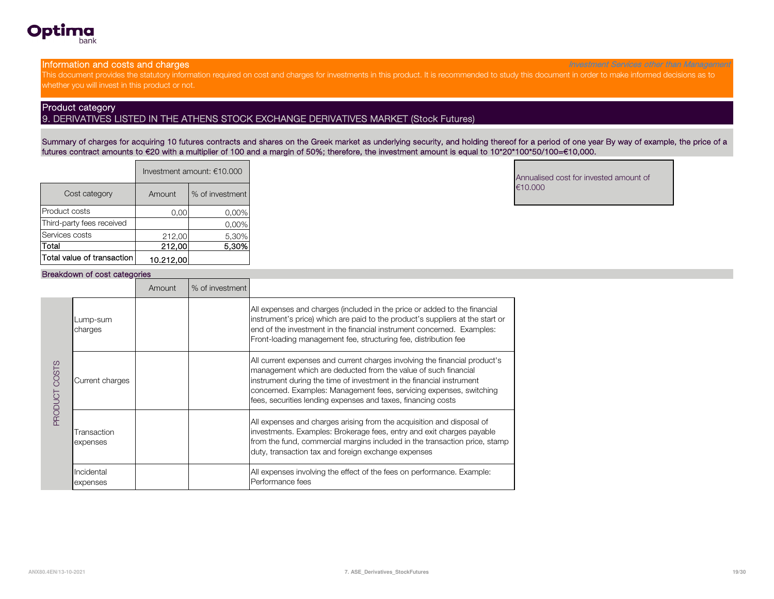

**Information and costs and charges** Investment Services other than Management Services other than Management Services other than Management

This document provides the statutory information required on cost and charges for investments in this product. It is recommended to study this document in order to make informed decisions as to whether you will invest in this product or not.

#### Product category

#### 9. DERIVATIVES LISTED IN THE ATHENS STOCK EXCHANGE DERIVATIVES MARKET (Stock Futures)

Summary of charges for acquiring 10 futures contracts and shares on the Greek market as underlying security, and holding thereof for a period of one year By way of example, the price of a futures contract amounts to €20 with a multiplier of 100 and a margin of 50%; therefore, the investment amount is equal to 10\*20\*100\*50/100=€10,000.

|                            | Investment amount: €10.000 |                 |  |  |
|----------------------------|----------------------------|-----------------|--|--|
| Cost category              | Amount                     | % of investment |  |  |
| Product costs              | 0.00                       | $0.00\%$        |  |  |
| Third-party fees received  |                            | 0,00%           |  |  |
| Services costs             | 212,00                     | 5,30%           |  |  |
| Total                      | 212,00                     | 5.30%           |  |  |
| Total value of transaction | 10.212.00                  |                 |  |  |

Annualised cost for invested amount of €10.000

#### Breakdown of cost categories

|                        |                         | Amount | % of investment |                                                                                                                                                                                                                                                                                                                                                             |
|------------------------|-------------------------|--------|-----------------|-------------------------------------------------------------------------------------------------------------------------------------------------------------------------------------------------------------------------------------------------------------------------------------------------------------------------------------------------------------|
| COSTS<br><b>LOUDOR</b> | Lump-sum<br>charges     |        |                 | All expenses and charges (included in the price or added to the financial<br>instrument's price) which are paid to the product's suppliers at the start or<br>end of the investment in the financial instrument concerned. Examples:<br>Front-loading management fee, structuring fee, distribution fee                                                     |
|                        | Current charges         |        |                 | All current expenses and current charges involving the financial product's<br>management which are deducted from the value of such financial<br>instrument during the time of investment in the financial instrument<br>concerned. Examples: Management fees, servicing expenses, switching<br>fees, securities lending expenses and taxes, financing costs |
|                        | Transaction<br>expenses |        |                 | All expenses and charges arising from the acquisition and disposal of<br>investments. Examples: Brokerage fees, entry and exit charges payable<br>from the fund, commercial margins included in the transaction price, stamp<br>duty, transaction tax and foreign exchange expenses                                                                         |
|                        | Incidental<br>expenses  |        |                 | All expenses involving the effect of the fees on performance. Example:<br>Performance fees                                                                                                                                                                                                                                                                  |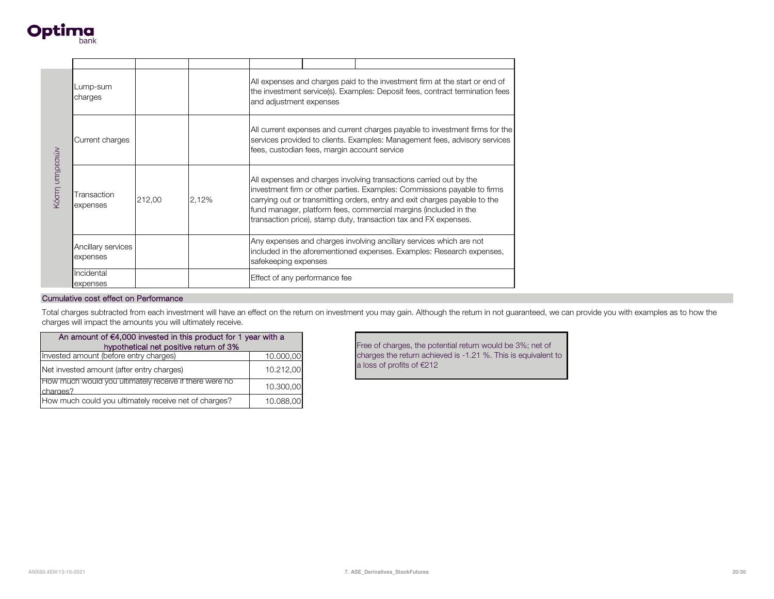

| Κόστη υπηρεσιών | Lump-sum<br>charges                                            |        |                                        | All expenses and charges paid to the investment firm at the start or end of<br>the investment service(s). Examples: Deposit fees, contract termination fees<br>and adjustment expenses                                                                                                                                                                               |                                                                                                                                                                                                            |                                                                                                                                            |  |
|-----------------|----------------------------------------------------------------|--------|----------------------------------------|----------------------------------------------------------------------------------------------------------------------------------------------------------------------------------------------------------------------------------------------------------------------------------------------------------------------------------------------------------------------|------------------------------------------------------------------------------------------------------------------------------------------------------------------------------------------------------------|--------------------------------------------------------------------------------------------------------------------------------------------|--|
|                 | Current charges                                                |        |                                        |                                                                                                                                                                                                                                                                                                                                                                      | All current expenses and current charges payable to investment firms for the<br>services provided to clients. Examples: Management fees, advisory services<br>fees, custodian fees, margin account service |                                                                                                                                            |  |
|                 | Transaction<br>expenses                                        | 212,00 | 2,12%                                  | All expenses and charges involving transactions carried out by the<br>investment firm or other parties. Examples: Commissions payable to firms<br>carrying out or transmitting orders, entry and exit charges payable to the<br>fund manager, platform fees, commercial margins (included in the<br>transaction price), stamp duty, transaction tax and FX expenses. |                                                                                                                                                                                                            |                                                                                                                                            |  |
|                 | Ancillary services<br>expenses                                 |        |                                        | Any expenses and charges involving ancillary services which are not<br>included in the aforementioned expenses. Examples: Research expenses,<br>safekeeping expenses                                                                                                                                                                                                 |                                                                                                                                                                                                            |                                                                                                                                            |  |
|                 | Incidental<br>expenses                                         |        |                                        | Effect of any performance fee                                                                                                                                                                                                                                                                                                                                        |                                                                                                                                                                                                            |                                                                                                                                            |  |
|                 | Cumulative cost effect on Performance                          |        |                                        |                                                                                                                                                                                                                                                                                                                                                                      |                                                                                                                                                                                                            |                                                                                                                                            |  |
|                 | charges will impact the amounts you will ultimately receive.   |        |                                        |                                                                                                                                                                                                                                                                                                                                                                      |                                                                                                                                                                                                            | Total charges subtracted from each investment will have an effect on the return on investment you may gain. Although the return in not gua |  |
|                 | An amount of €4,000 invested in this product for 1 year with a |        | hypothetical net positive return of 3% |                                                                                                                                                                                                                                                                                                                                                                      |                                                                                                                                                                                                            | Free of charges, the potential return would be 3                                                                                           |  |
|                 | Invested amount (before entry charges)                         |        |                                        | 10.000,00                                                                                                                                                                                                                                                                                                                                                            |                                                                                                                                                                                                            | charges the return achieved is -1.21 %. This is                                                                                            |  |
|                 | Net invested amount (after entry charges)                      |        |                                        | 10.212,00                                                                                                                                                                                                                                                                                                                                                            |                                                                                                                                                                                                            | a loss of profits of €212                                                                                                                  |  |
| charges?        | How much would you ultimately receive if there were no         |        |                                        | 10.300,00                                                                                                                                                                                                                                                                                                                                                            |                                                                                                                                                                                                            |                                                                                                                                            |  |
|                 |                                                                |        |                                        |                                                                                                                                                                                                                                                                                                                                                                      |                                                                                                                                                                                                            |                                                                                                                                            |  |

Total charges subtracted from each investment will have an effect on the return on investment you may gain. Although the return in not guaranteed, we can provide you with examples as to how the charges will impact the amounts you will ultimately receive.

| An amount of €4,000 invested in this product for 1 year with a     |           |  |  |  |  |
|--------------------------------------------------------------------|-----------|--|--|--|--|
| hypothetical net positive return of 3%                             |           |  |  |  |  |
| Invested amount (before entry charges)                             | 10.000,00 |  |  |  |  |
| Net invested amount (after entry charges)                          | 10.212.00 |  |  |  |  |
| How much would you ultimately receive if there were no<br>charges? | 10.300,00 |  |  |  |  |
| How much could you ultimately receive net of charges?              | 10.088,00 |  |  |  |  |

Free of charges, the potential return would be 3%; net of charges the return achieved is -1.21 %. This is equivalent to a loss of profits of €212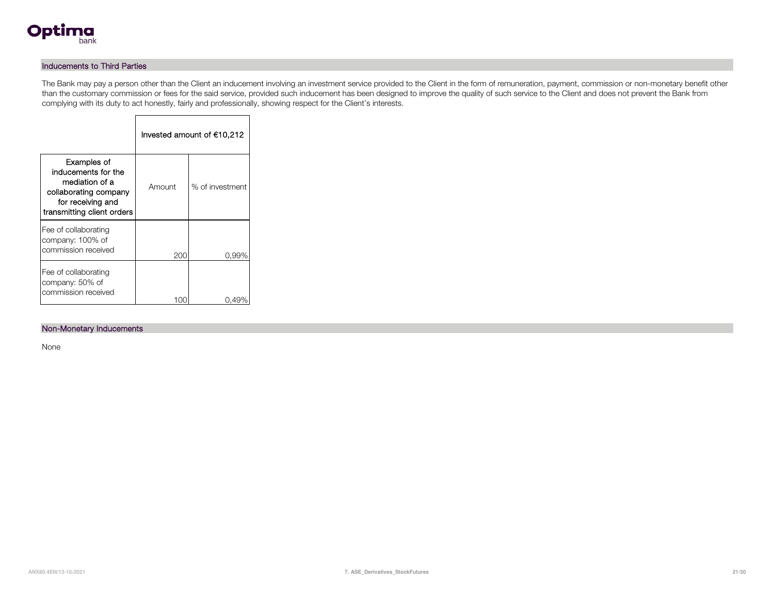

### Inducements to Third Parties

The Bank may pay a person other than the Client an inducement involving an investment service provided to the Client in the form of remuneration, payment, commission or non-monetary benefit other than the customary commission or fees for the said service, provided such inducement has been designed to improve the quality of such service to the Client and does not prevent the Bank from complying with its duty to act honestly, fairly and professionally, showing respect for the Client's interests.

|                                                                                                                                  | Invested amount of €10,212 |                 |  |  |  |
|----------------------------------------------------------------------------------------------------------------------------------|----------------------------|-----------------|--|--|--|
| Examples of<br>inducements for the<br>mediation of a<br>collaborating company<br>for receiving and<br>transmitting client orders | Amount                     | % of investment |  |  |  |
| Fee of collaborating<br>company: 100% of<br>commission received                                                                  | 200                        | 0,99%           |  |  |  |
| Fee of collaborating<br>company: 50% of<br>commission received                                                                   |                            | 0.49            |  |  |  |

Г

#### Non-Monetary Inducements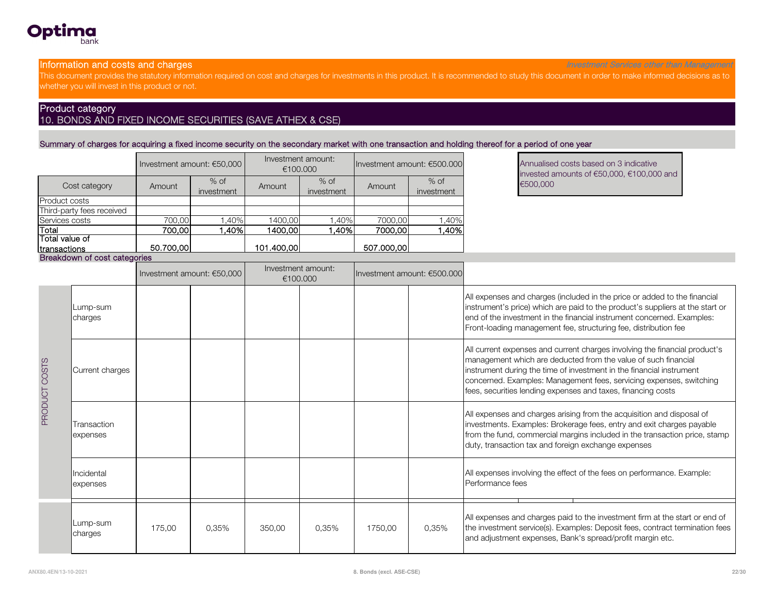

#### **Information and costs and charges** Investment Services other than Management Services other than Management

This document provides the statutory information required on cost and charges for investments in this product. It is recommended to study this document in order to make informed decisions as to whether you will invest in this product or not.

# Product category

## 10. BONDS AND FIXED INCOME SECURITIES (SAVE ATHEX & CSE)

Summary of charges for acquiring a fixed income security on the secondary market with one transaction and holding thereof for a period of one year

|                              |           | Investment amount: $€50,000$ | Investment amount:<br>€100,000 |                      | Investment amount: $€500.000$ |                      | Annualise<br>invested a |
|------------------------------|-----------|------------------------------|--------------------------------|----------------------|-------------------------------|----------------------|-------------------------|
| Cost category                | Amount    | $%$ of<br>investment         | Amount                         | $%$ of<br>investment | Amount                        | $%$ of<br>investment | €500,000                |
| <b>Product costs</b>         |           |                              |                                |                      |                               |                      |                         |
| Third-party fees received    |           |                              |                                |                      |                               |                      |                         |
| Services costs               | 700.00    | ,40%                         | 1400,00                        | ,40%                 | 7000,00                       | ,40%                 |                         |
| Total                        | 700.001   | ا40%.                        | 1400,00                        | .40%l                | 7000,00                       | .40%                 |                         |
| Total value of               |           |                              |                                |                      |                               |                      |                         |
| Itransactions                | 50.700.00 |                              | 101.400,00                     |                      | 507.000,00                    |                      |                         |
| Breakdown of cost categories |           |                              |                                |                      |                               |                      |                         |

Annualised costs based on 3 indicative invested amounts of €50,000, €100,000 and

|               |                         | Investment amount: €50,000 |       |        | Investment amount:<br>€100.000 |         | Investment amount: €500.000 |                                                                                                                                                                                                                                                                                                                                                             |
|---------------|-------------------------|----------------------------|-------|--------|--------------------------------|---------|-----------------------------|-------------------------------------------------------------------------------------------------------------------------------------------------------------------------------------------------------------------------------------------------------------------------------------------------------------------------------------------------------------|
|               | Lump-sum<br>charges     |                            |       |        |                                |         |                             | All expenses and charges (included in the price or added to the financial<br>instrument's price) which are paid to the product's suppliers at the start or<br>end of the investment in the financial instrument concerned. Examples:<br>Front-loading management fee, structuring fee, distribution fee                                                     |
| PRODUCT COSTS | Current charges         |                            |       |        |                                |         |                             | All current expenses and current charges involving the financial product's<br>management which are deducted from the value of such financial<br>instrument during the time of investment in the financial instrument<br>concerned. Examples: Management fees, servicing expenses, switching<br>fees, securities lending expenses and taxes, financing costs |
|               | Transaction<br>expenses |                            |       |        |                                |         |                             | All expenses and charges arising from the acquisition and disposal of<br>investments. Examples: Brokerage fees, entry and exit charges payable<br>from the fund, commercial margins included in the transaction price, stamp<br>duty, transaction tax and foreign exchange expenses                                                                         |
|               | Incidental<br>expenses  |                            |       |        |                                |         |                             | All expenses involving the effect of the fees on performance. Example:<br>Performance fees                                                                                                                                                                                                                                                                  |
|               | Lump-sum<br>charges     | 175,00                     | 0,35% | 350,00 | 0,35%                          | 1750,00 | 0,35%                       | All expenses and charges paid to the investment firm at the start or end of<br>the investment service(s). Examples: Deposit fees, contract termination fees<br>and adjustment expenses, Bank's spread/profit margin etc.                                                                                                                                    |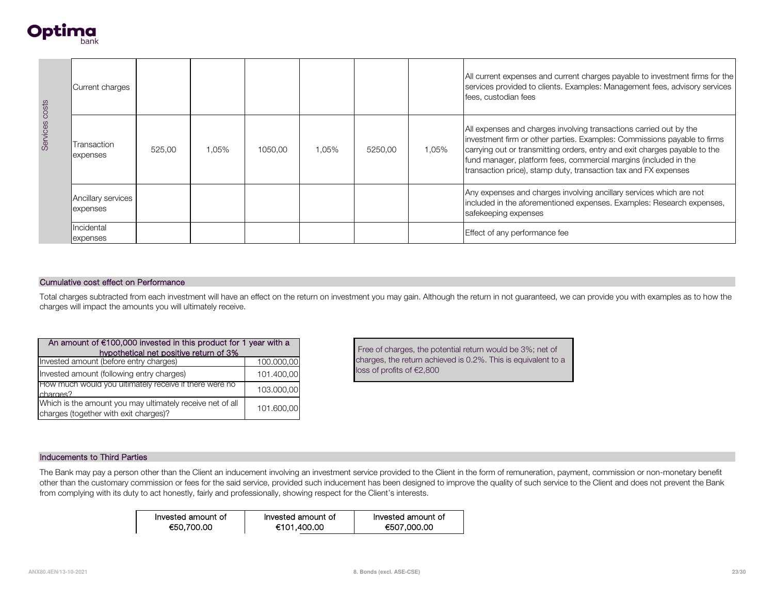

| Services costs                                                                                                                                                                                                                                                    | Current charges                                                                                     |                                        |       |            |       |                           | All current expenses and current charges payable to investment firms for the<br>services provided to clients. Examples: Management fees, advisory services<br>fees, custodian fees |                                                                                                                                                                                                                                                                                                                                                                     |  |  |
|-------------------------------------------------------------------------------------------------------------------------------------------------------------------------------------------------------------------------------------------------------------------|-----------------------------------------------------------------------------------------------------|----------------------------------------|-------|------------|-------|---------------------------|------------------------------------------------------------------------------------------------------------------------------------------------------------------------------------|---------------------------------------------------------------------------------------------------------------------------------------------------------------------------------------------------------------------------------------------------------------------------------------------------------------------------------------------------------------------|--|--|
|                                                                                                                                                                                                                                                                   | Transaction<br>expenses                                                                             | 525,00                                 | 1,05% | 1050,00    | 1,05% | 5250,00                   | 1,05%                                                                                                                                                                              | All expenses and charges involving transactions carried out by the<br>investment firm or other parties. Examples: Commissions payable to firms<br>carrying out or transmitting orders, entry and exit charges payable to the<br>fund manager, platform fees, commercial margins (included in the<br>transaction price), stamp duty, transaction tax and FX expenses |  |  |
|                                                                                                                                                                                                                                                                   | Ancillary services<br>expenses                                                                      |                                        |       |            |       |                           |                                                                                                                                                                                    | Any expenses and charges involving ancillary services which are not<br>included in the aforementioned expenses. Examples: Research expenses,<br>safekeeping expenses                                                                                                                                                                                                |  |  |
|                                                                                                                                                                                                                                                                   | Incidental<br>expenses                                                                              |                                        |       |            |       |                           |                                                                                                                                                                                    | Effect of any performance fee                                                                                                                                                                                                                                                                                                                                       |  |  |
|                                                                                                                                                                                                                                                                   |                                                                                                     |                                        |       |            |       |                           |                                                                                                                                                                                    |                                                                                                                                                                                                                                                                                                                                                                     |  |  |
|                                                                                                                                                                                                                                                                   | Cumulative cost effect on Performance                                                               |                                        |       |            |       |                           |                                                                                                                                                                                    |                                                                                                                                                                                                                                                                                                                                                                     |  |  |
| Total charges subtracted from each investment will have an effect on the return on investment you may gain. Although the return in not guaranteed, we can provide you with examples as to how the<br>charges will impact the amounts you will ultimately receive. |                                                                                                     |                                        |       |            |       |                           |                                                                                                                                                                                    |                                                                                                                                                                                                                                                                                                                                                                     |  |  |
|                                                                                                                                                                                                                                                                   | An amount of $€100,000$ invested in this product for 1 year with a                                  |                                        |       |            |       |                           |                                                                                                                                                                                    |                                                                                                                                                                                                                                                                                                                                                                     |  |  |
|                                                                                                                                                                                                                                                                   |                                                                                                     | hypothetical net positive return of 3% |       |            |       |                           |                                                                                                                                                                                    | Free of charges, the potential return would be 3%; net of                                                                                                                                                                                                                                                                                                           |  |  |
|                                                                                                                                                                                                                                                                   | Invested amount (before entry charges)                                                              |                                        |       | 100.000,00 |       | loss of profits of €2,800 |                                                                                                                                                                                    | charges, the return achieved is 0.2%. This is equivalent to a                                                                                                                                                                                                                                                                                                       |  |  |
|                                                                                                                                                                                                                                                                   | Invested amount (following entry charges)<br>How much would you ultimately receive if there were no |                                        |       | 101.400,00 |       |                           |                                                                                                                                                                                    |                                                                                                                                                                                                                                                                                                                                                                     |  |  |
| charges?                                                                                                                                                                                                                                                          |                                                                                                     |                                        |       | 103.000,00 |       |                           |                                                                                                                                                                                    |                                                                                                                                                                                                                                                                                                                                                                     |  |  |

| An amount of $€100,000$ invested in this product for 1 year with a<br>hypothetical net positive return of 3% |            |  |  |  |  |
|--------------------------------------------------------------------------------------------------------------|------------|--|--|--|--|
| Invested amount (before entry charges)                                                                       | 100.000,00 |  |  |  |  |
| Invested amount (following entry charges)                                                                    | 101.400,00 |  |  |  |  |
| How much would you ultimately receive if there were no<br>charges?                                           | 103.000,00 |  |  |  |  |
| Which is the amount you may ultimately receive net of all<br>charges (together with exit charges)?           | 101.600,00 |  |  |  |  |

#### Inducements to Third Parties

The Bank may pay a person other than the Client an inducement involving an investment service provided to the Client in the form of remuneration, payment, commission or non-monetary benefit other than the customary commission or fees for the said service, provided such inducement has been designed to improve the quality of such service to the Client and does not prevent the Bank from complying with its duty to act honestly, fairly and professionally, showing respect for the Client's interests.

| Invested amount of | Invested amount of | Invested amount of |
|--------------------|--------------------|--------------------|
| €50,700,00         | €101,400.00        | €507,000.00        |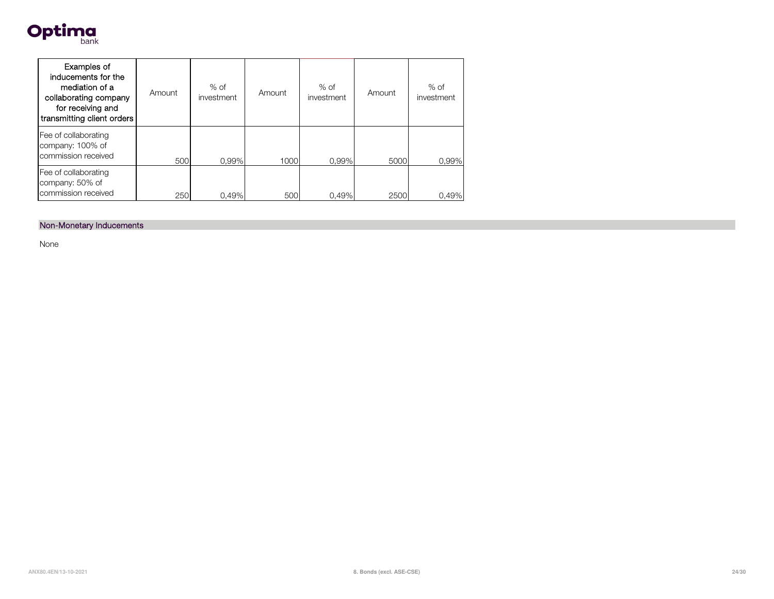

| Examples of<br>inducements for the<br>mediation of a<br>collaborating company<br>for receiving and<br>transmitting client orders | Amount | $%$ of<br>investment | Amount | $%$ of<br>investment | Amount | $%$ of<br>investment |
|----------------------------------------------------------------------------------------------------------------------------------|--------|----------------------|--------|----------------------|--------|----------------------|
| Fee of collaborating<br>company: 100% of<br>commission received                                                                  | 500    | 0.99%                | 1000   | 0.99%                | 5000   | 0,99%                |
| Fee of collaborating<br>company: 50% of<br>commission received                                                                   | 250    | 0.49%                | 500    | 0.49%                | 2500   | 0,49%                |

### Non-Monetary Inducements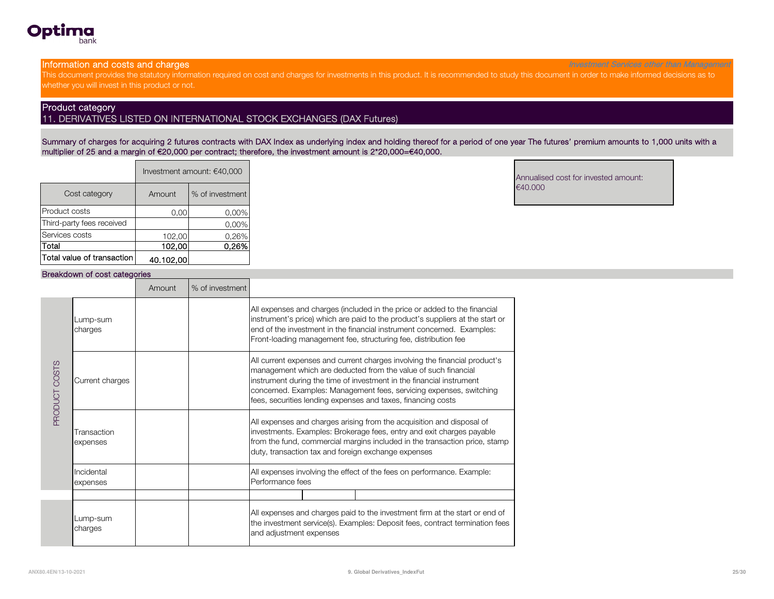

**Information and costs and charges** Investment Services other than Management Services other than Management Services other than Management

This document provides the statutory information required on cost and charges for investments in this product. It is recommended to study this document in order to make informed decisions as to whether you will invest in this product or not.

#### Product category

### 11. DERIVATIVES LISTED ON INTERNATIONAL STOCK EXCHANGES (DAX Futures)

Summary of charges for acquiring 2 futures contracts with DAX Index as underlying index and holding thereof for a period of one year The futures' premium amounts to 1,000 units with a multiplier of 25 and a margin of €20,000 per contract; therefore, the investment amount is 2\*20,000=€40,000.

|                            | Investment amount: €40,000 |                 |  |  |  |
|----------------------------|----------------------------|-----------------|--|--|--|
| Cost category              | Amount                     | % of investment |  |  |  |
| Product costs              | 0.00                       | 0,00%           |  |  |  |
| Third-party fees received  |                            | 0,00%           |  |  |  |
| Services costs             | 102,00                     | 0,26%           |  |  |  |
| Total                      | 102.00                     | 0.26%           |  |  |  |
| Total value of transaction | 40.102,00                  |                 |  |  |  |

Annualised cost for invested amount: €40.000

#### Breakdown of cost categories

|               |                         | Amount | % of investment |                                                                                                                                                                                                                                                                                                                                                             |  |  |
|---------------|-------------------------|--------|-----------------|-------------------------------------------------------------------------------------------------------------------------------------------------------------------------------------------------------------------------------------------------------------------------------------------------------------------------------------------------------------|--|--|
| PRODUCT COSTS | Lump-sum<br>charges     |        |                 | All expenses and charges (included in the price or added to the financial<br>instrument's price) which are paid to the product's suppliers at the start or<br>end of the investment in the financial instrument concerned. Examples:<br>Front-loading management fee, structuring fee, distribution fee                                                     |  |  |
|               | Current charges         |        |                 | All current expenses and current charges involving the financial product's<br>management which are deducted from the value of such financial<br>instrument during the time of investment in the financial instrument<br>concerned. Examples: Management fees, servicing expenses, switching<br>fees, securities lending expenses and taxes, financing costs |  |  |
|               | Transaction<br>expenses |        |                 | All expenses and charges arising from the acquisition and disposal of<br>investments. Examples: Brokerage fees, entry and exit charges payable<br>from the fund, commercial margins included in the transaction price, stamp<br>duty, transaction tax and foreign exchange expenses                                                                         |  |  |
|               | Incidental<br>expenses  |        |                 | All expenses involving the effect of the fees on performance. Example:<br>Performance fees                                                                                                                                                                                                                                                                  |  |  |
|               | Lump-sum<br>charges     |        |                 | All expenses and charges paid to the investment firm at the start or end of<br>the investment service(s). Examples: Deposit fees, contract termination fees<br>and adjustment expenses                                                                                                                                                                      |  |  |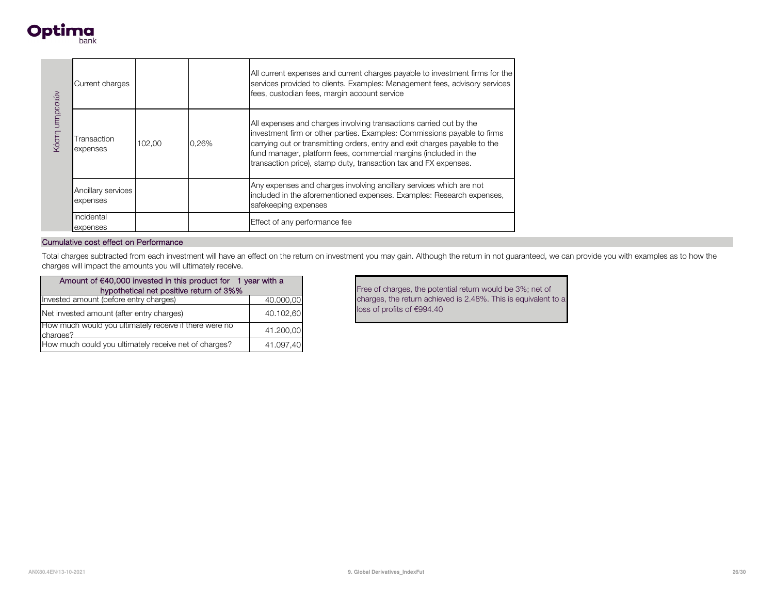

|                 | Current charges                |        |       | All current expenses and current charges payable to investment firms for the<br>services provided to clients. Examples: Management fees, advisory services<br>fees, custodian fees, margin account service                                                                                                                                                           |
|-----------------|--------------------------------|--------|-------|----------------------------------------------------------------------------------------------------------------------------------------------------------------------------------------------------------------------------------------------------------------------------------------------------------------------------------------------------------------------|
| Κόστη υπηρεσιών | Transaction<br>expenses        | 102.00 | 0,26% | All expenses and charges involving transactions carried out by the<br>investment firm or other parties. Examples: Commissions payable to firms<br>carrying out or transmitting orders, entry and exit charges payable to the<br>fund manager, platform fees, commercial margins (included in the<br>transaction price), stamp duty, transaction tax and FX expenses. |
|                 | Ancillary services<br>expenses |        |       | Any expenses and charges involving ancillary services which are not<br>included in the aforementioned expenses. Examples: Research expenses,<br>safekeeping expenses                                                                                                                                                                                                 |
|                 | Incidental<br>expenses         |        |       | Effect of any performance fee                                                                                                                                                                                                                                                                                                                                        |

Total charges subtracted from each investment will have an effect on the return on investment you may gain. Although the return in not guaranteed, we can provide you with examples as to how the charges will impact the amounts you will ultimately receive.

| Amount of $\epsilon$ 40,000 invested in this product for 1 year with a<br>hypothetical net positive return of 3%% |           |
|-------------------------------------------------------------------------------------------------------------------|-----------|
| Invested amount (before entry charges)                                                                            | 40.000,00 |
| Net invested amount (after entry charges)                                                                         | 40.102,60 |
| How much would you ultimately receive if there were no<br>charges?                                                | 41.200,00 |
| How much could you ultimately receive net of charges?                                                             | 41.097,40 |

Free of charges, the potential return would be 3%; net of charges, the return achieved is 2.48%. This is equivalent to a loss of profits of €994.40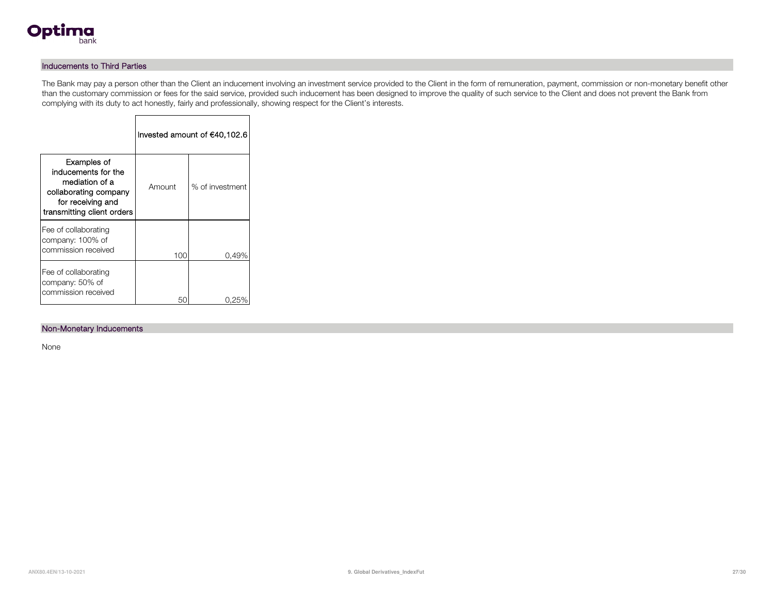

### Inducements to Third Parties

The Bank may pay a person other than the Client an inducement involving an investment service provided to the Client in the form of remuneration, payment, commission or non-monetary benefit other than the customary commission or fees for the said service, provided such inducement has been designed to improve the quality of such service to the Client and does not prevent the Bank from complying with its duty to act honestly, fairly and professionally, showing respect for the Client's interests.

|                                                                                                                                  |        | Invested amount of €40,102.6 |
|----------------------------------------------------------------------------------------------------------------------------------|--------|------------------------------|
| Examples of<br>inducements for the<br>mediation of a<br>collaborating company<br>for receiving and<br>transmitting client orders | Amount | % of investment              |
| Fee of collaborating<br>company: 100% of<br>commission received                                                                  | 100    | 0.49%                        |
| Fee of collaborating<br>company: 50% of<br>commission received                                                                   |        |                              |

Г

#### Non-Monetary Inducements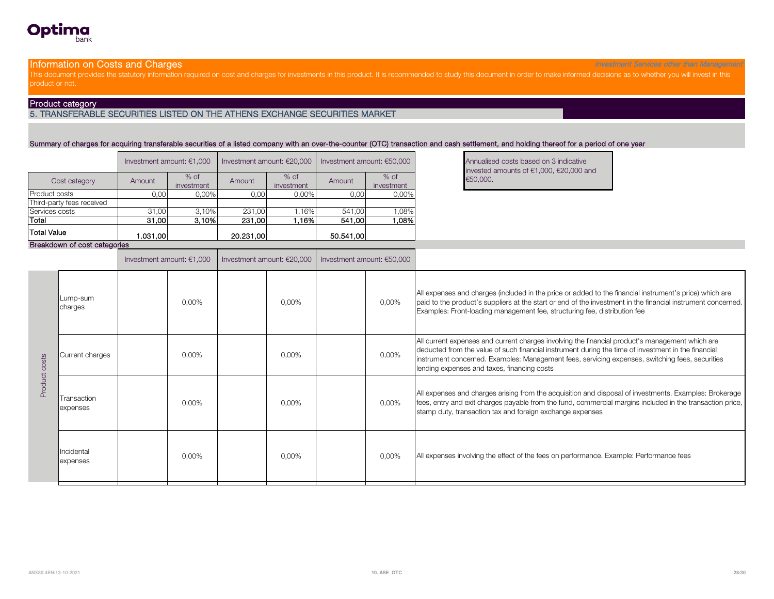#### **Information on Costs and Charges** Investment Services of the Chargement Services other than Management Services other than Management

This document provides the statutory information required on cost and charges for investments in this product. It is recommended to study this document in order to make informed decisions as to whether you will invest in t product or not.

#### Product category

**Optima** 

#### 5. TRANSFERABLE SECURITIES LISTED ON THE ATHENS EXCHANGE SECURITIES MARKET

#### Summary of charges for acquiring transferable securities of a listed company with an over-the-counter (OTC) transaction and cash settlement, and holding thereof for a period of one year

|                           |          | Investment amount: $€1.000$ | Investment amount: $€20.000$ |                      | Investment amount: $€50.000$ | <b>Annualise</b><br>invested |          |
|---------------------------|----------|-----------------------------|------------------------------|----------------------|------------------------------|------------------------------|----------|
| Cost category             | Amount   | $%$ of<br>investment        | Amount                       | $%$ of<br>investment | Amount                       | $%$ of<br>investment         | €50,000. |
| <b>Product costs</b>      | 0,00     | 0,00%                       | 0,00                         | 0,00%                | 0,00                         | 0,00%                        |          |
| Third-party fees received |          |                             |                              |                      |                              |                              |          |
| Services costs            | 31,00    | 3.10%                       | 231.00                       | 1.16%                | 541.00                       | $0.08\%$                     |          |
| Total                     | 31.00    | 3.10%                       | 231,00                       | 1.16%l               | 541.00                       | 08%،                         |          |
| <b>Total Value</b>        | 1.031.00 |                             | 20.231,00                    |                      | 50.541.00                    |                              |          |

Annualised costs based on 3 indicative invested amounts of €1,000, €20,000 and

#### Breakdown of cost categories

|                  |                         | Investment amount: $€1,000$ |          | Investment amount: €20,000 | Investment amount: €50,000 |          |                                                                                                                                                                                                                                                                                                                                                          |  |  |
|------------------|-------------------------|-----------------------------|----------|----------------------------|----------------------------|----------|----------------------------------------------------------------------------------------------------------------------------------------------------------------------------------------------------------------------------------------------------------------------------------------------------------------------------------------------------------|--|--|
| costs<br>Product | Lump-sum<br>charges     |                             | $0.00\%$ | $0.00\%$                   |                            | $0,00\%$ | All expenses and charges (included in the price or added to the financial instrument's price) which are<br>paid to the product's suppliers at the start or end of the investment in the financial instrument concerned.<br>Examples: Front-loading management fee, structuring fee, distribution fee                                                     |  |  |
|                  | Current charges         |                             | 0,00%    | 0,00%                      |                            | 0,00%    | All current expenses and current charges involving the financial product's management which are<br>deducted from the value of such financial instrument during the time of investment in the financial<br>instrument concerned. Examples: Management fees, servicing expenses, switching fees, securities<br>lending expenses and taxes, financing costs |  |  |
|                  | Transaction<br>expenses |                             | 0,00%    | 0,00%                      |                            | 0,00%    | All expenses and charges arising from the acquisition and disposal of investments. Examples: Brokerage<br>fees, entry and exit charges payable from the fund, commercial margins included in the transaction price,<br>stamp duty, transaction tax and foreign exchange expenses                                                                         |  |  |
|                  | Incidental<br>expenses  |                             | 0,00%    | 0,00%                      |                            | 0,00%    | All expenses involving the effect of the fees on performance. Example: Performance fees                                                                                                                                                                                                                                                                  |  |  |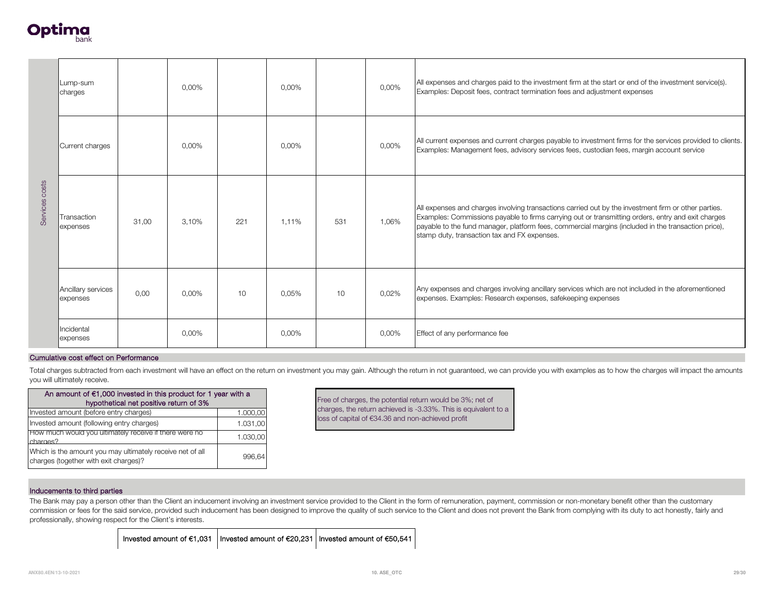

| Services costs                                                                                                                                                        | Lump-sum<br>charges                                    |       | 0,00% |                 | 0,00%    |                                                                 | 0,00%                                             | All expenses and charges paid to the investment firm at the start or end of the investment service(s).<br>Examples: Deposit fees, contract termination fees and adjustment expenses                                                                                                                                                                               |  |  |  |
|-----------------------------------------------------------------------------------------------------------------------------------------------------------------------|--------------------------------------------------------|-------|-------|-----------------|----------|-----------------------------------------------------------------|---------------------------------------------------|-------------------------------------------------------------------------------------------------------------------------------------------------------------------------------------------------------------------------------------------------------------------------------------------------------------------------------------------------------------------|--|--|--|
|                                                                                                                                                                       | Current charges                                        |       | 0,00% |                 | 0,00%    |                                                                 | 0,00%                                             | All current expenses and current charges payable to investment firms for the services provided to clients.<br>Examples: Management fees, advisory services fees, custodian fees, margin account service                                                                                                                                                           |  |  |  |
|                                                                                                                                                                       | Transaction<br>expenses                                | 31,00 | 3,10% | 221             | 1,11%    | 531                                                             | 1,06%                                             | All expenses and charges involving transactions carried out by the investment firm or other parties.<br>Examples: Commissions payable to firms carrying out or transmitting orders, entry and exit charges<br>payable to the fund manager, platform fees, commercial margins (included in the transaction price),<br>stamp duty, transaction tax and FX expenses. |  |  |  |
|                                                                                                                                                                       | Ancillary services<br>expenses                         | 0,00  | 0,00% | 10 <sup>1</sup> | 0.05%    | 10                                                              | 0,02%                                             | Any expenses and charges involving ancillary services which are not included in the aforementioned<br>expenses. Examples: Research expenses, safekeeping expenses                                                                                                                                                                                                 |  |  |  |
|                                                                                                                                                                       | Incidental<br>expenses                                 |       | 0.00% |                 | $0.00\%$ |                                                                 | 0,00%                                             | Effect of any performance fee                                                                                                                                                                                                                                                                                                                                     |  |  |  |
|                                                                                                                                                                       | Cumulative cost effect on Performance                  |       |       |                 |          |                                                                 |                                                   |                                                                                                                                                                                                                                                                                                                                                                   |  |  |  |
|                                                                                                                                                                       | you will ultimately receive.                           |       |       |                 |          |                                                                 |                                                   | Total charges subtracted from each investment will have an effect on the return on investment you may gain. Although the return in not guaranteed, we can provide you with examples as to how the charges will impact the amou                                                                                                                                    |  |  |  |
| An amount of €1,000 invested in this product for 1 year with a<br>Free of charges, the potential return would be 3%; net of<br>hypothetical net positive return of 3% |                                                        |       |       |                 |          |                                                                 |                                                   |                                                                                                                                                                                                                                                                                                                                                                   |  |  |  |
| Invested amount (before entry charges)<br>1.000,00                                                                                                                    |                                                        |       |       |                 |          | charges, the return achieved is -3.33%. This is equivalent to a |                                                   |                                                                                                                                                                                                                                                                                                                                                                   |  |  |  |
| Invested amount (following entry charges)<br>1.031,00                                                                                                                 |                                                        |       |       |                 |          |                                                                 | loss of capital of €34.36 and non-achieved profit |                                                                                                                                                                                                                                                                                                                                                                   |  |  |  |
| charges?                                                                                                                                                              | How much would you ultimately receive if there were no |       |       | 1.030,00        |          |                                                                 |                                                   |                                                                                                                                                                                                                                                                                                                                                                   |  |  |  |
|                                                                                                                                                                       |                                                        |       |       |                 |          |                                                                 |                                                   |                                                                                                                                                                                                                                                                                                                                                                   |  |  |  |

| An amount of $€1,000$ invested in this product for 1 year with a<br>hypothetical net positive return of 3% |          |  |  |  |  |  |
|------------------------------------------------------------------------------------------------------------|----------|--|--|--|--|--|
| Invested amount (before entry charges)                                                                     | 1.000,00 |  |  |  |  |  |
| Invested amount (following entry charges)                                                                  | 1.031,00 |  |  |  |  |  |
| How much would you ultimately receive if there were no<br>charges?                                         | 1.030,00 |  |  |  |  |  |
| Which is the amount you may ultimately receive net of all<br>charges (together with exit charges)?         | 996.64   |  |  |  |  |  |

#### Inducements to third parties

The Bank may pay a person other than the Client an inducement involving an investment service provided to the Client in the form of remuneration, payment, commission or non-monetary benefit other than the customary commission or fees for the said service, provided such inducement has been designed to improve the quality of such service to the Client and does not prevent the Bank from complying with its duty to act honestly, fairly an professionally, showing respect for the Client's interests.

Invested amount of €1,031 | Invested amount of €20,231 | Invested amount of €50,541